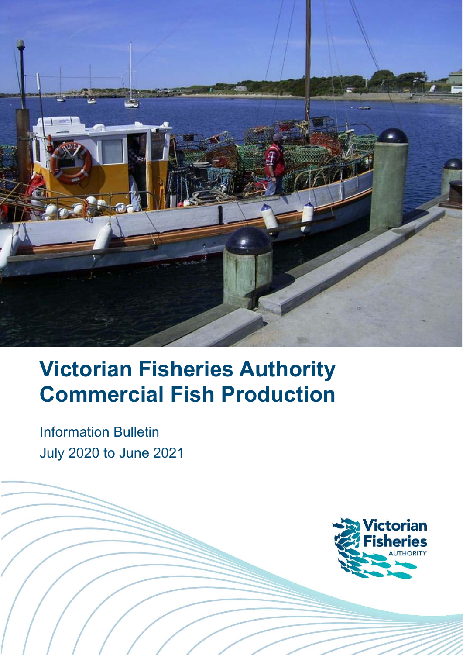

# **Victorian Fisheries Authority Commercial Fish Production**

Information Bulletin July 2020 to June 2021

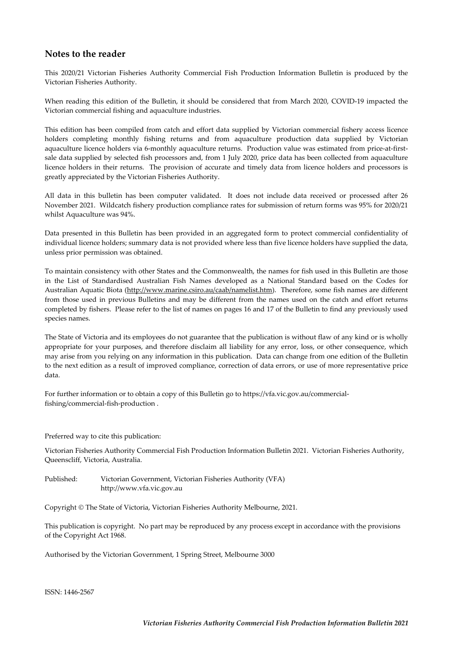#### **Notes to the reader**

This 2020/21 Victorian Fisheries Authority Commercial Fish Production Information Bulletin is produced by the Victorian Fisheries Authority.

When reading this edition of the Bulletin, it should be considered that from March 2020, COVID‐19 impacted the Victorian commercial fishing and aquaculture industries.

This edition has been compiled from catch and effort data supplied by Victorian commercial fishery access licence holders completing monthly fishing returns and from aquaculture production data supplied by Victorian aquaculture licence holders via 6-monthly aquaculture returns. Production value was estimated from price-at-firstsale data supplied by selected fish processors and, from 1 July 2020, price data has been collected from aquaculture licence holders in their returns. The provision of accurate and timely data from licence holders and processors is greatly appreciated by the Victorian Fisheries Authority.

All data in this bulletin has been computer validated. It does not include data received or processed after 26 November 2021. Wildcatch fishery production compliance rates for submission of return forms was 95% for 2020/21 whilst Aquaculture was 94%.

Data presented in this Bulletin has been provided in an aggregated form to protect commercial confidentiality of individual licence holders; summary data is not provided where less than five licence holders have supplied the data, unless prior permission was obtained.

To maintain consistency with other States and the Commonwealth, the names for fish used in this Bulletin are those in the List of Standardised Australian Fish Names developed as a National Standard based on the Codes for Australian Aquatic Biota (http://www.marine.csiro.au/caab/namelist.htm). Therefore, some fish names are different from those used in previous Bulletins and may be different from the names used on the catch and effort returns completed by fishers. Please refer to the list of names on pages 16 and 17 of the Bulletin to find any previously used species names.

The State of Victoria and its employees do not guarantee that the publication is without flaw of any kind or is wholly appropriate for your purposes, and therefore disclaim all liability for any error, loss, or other consequence, which may arise from you relying on any information in this publication. Data can change from one edition of the Bulletin to the next edition as a result of improved compliance, correction of data errors, or use of more representative price data.

For further information or to obtain a copy of this Bulletin go to https://vfa.vic.gov.au/commercial‐ fishing/commercial‐fish‐production .

Preferred way to cite this publication:

Victorian Fisheries Authority Commercial Fish Production Information Bulletin 2021. Victorian Fisheries Authority, Queenscliff, Victoria, Australia.

Published: Victorian Government, Victorian Fisheries Authority (VFA) http://www.vfa.vic.gov.au

Copyright © The State of Victoria, Victorian Fisheries Authority Melbourne, 2021.

This publication is copyright. No part may be reproduced by any process except in accordance with the provisions of the Copyright Act 1968.

Authorised by the Victorian Government, 1 Spring Street, Melbourne 3000

ISSN: 1446‐2567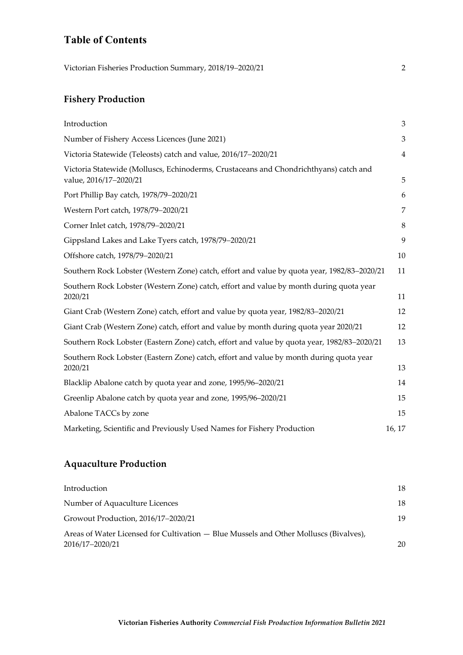# **Table of Contents**

Victorian Fisheries Production Summary, 2018/19-2020/21 2

# **Fishery Production**

| Introduction                                                                                                    | 3              |
|-----------------------------------------------------------------------------------------------------------------|----------------|
| Number of Fishery Access Licences (June 2021)                                                                   | 3              |
| Victoria Statewide (Teleosts) catch and value, 2016/17-2020/21                                                  | $\overline{4}$ |
| Victoria Statewide (Molluscs, Echinoderms, Crustaceans and Chondrichthyans) catch and<br>value, 2016/17-2020/21 | 5              |
| Port Phillip Bay catch, 1978/79-2020/21                                                                         | 6              |
| Western Port catch, 1978/79-2020/21                                                                             | 7              |
| Corner Inlet catch, 1978/79-2020/21                                                                             | 8              |
| Gippsland Lakes and Lake Tyers catch, 1978/79-2020/21                                                           | 9              |
| Offshore catch, 1978/79-2020/21                                                                                 | 10             |
| Southern Rock Lobster (Western Zone) catch, effort and value by quota year, 1982/83-2020/21                     | 11             |
| Southern Rock Lobster (Western Zone) catch, effort and value by month during quota year<br>2020/21              | 11             |
| Giant Crab (Western Zone) catch, effort and value by quota year, 1982/83-2020/21                                | 12             |
| Giant Crab (Western Zone) catch, effort and value by month during quota year 2020/21                            | 12             |
| Southern Rock Lobster (Eastern Zone) catch, effort and value by quota year, 1982/83-2020/21                     | 13             |
| Southern Rock Lobster (Eastern Zone) catch, effort and value by month during quota year<br>2020/21              | 13             |
| Blacklip Abalone catch by quota year and zone, 1995/96-2020/21                                                  | 14             |
| Greenlip Abalone catch by quota year and zone, 1995/96-2020/21                                                  | 15             |
| Abalone TACCs by zone                                                                                           | 15             |
| Marketing, Scientific and Previously Used Names for Fishery Production                                          | 16, 17         |

## **Aquaculture Production**

| Introduction                                                                                             | 18 |
|----------------------------------------------------------------------------------------------------------|----|
| Number of Aquaculture Licences                                                                           | 18 |
| Growout Production, 2016/17–2020/21                                                                      | 19 |
| Areas of Water Licensed for Cultivation — Blue Mussels and Other Molluscs (Bivalves),<br>2016/17-2020/21 | 20 |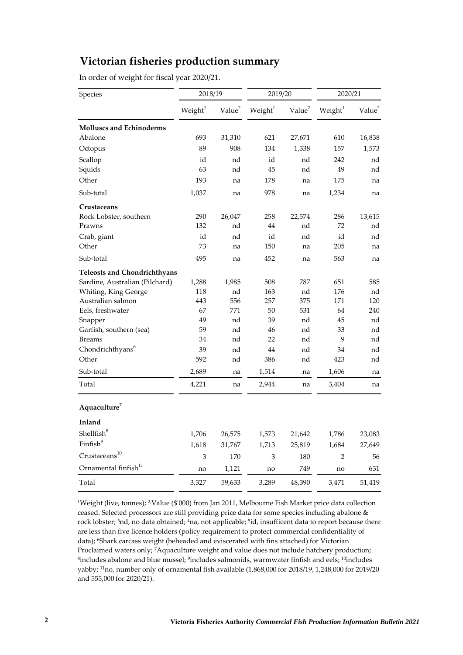# **Victorian fisheries production summary**

In order of weight for fiscal year 2020/21.

| Species                             | 2018/19    |                    | 2019/20             |                    | 2020/21             |                    |  |  |
|-------------------------------------|------------|--------------------|---------------------|--------------------|---------------------|--------------------|--|--|
|                                     | Weight $1$ | Value <sup>2</sup> | Weight <sup>1</sup> | Value <sup>2</sup> | Weight <sup>1</sup> | Value <sup>2</sup> |  |  |
| <b>Molluscs and Echinoderms</b>     |            |                    |                     |                    |                     |                    |  |  |
| Abalone                             | 693        | 31,310             | 621                 | 27,671             | 610                 | 16,838             |  |  |
| Octopus                             | 89         | 908                | 134                 | 1,338              | 157                 | 1,573              |  |  |
| Scallop                             | id         | nd                 | id                  | nd                 | 242                 | nd                 |  |  |
| Squids                              | 63         | nd                 | 45                  | nd                 | 49                  | nd                 |  |  |
| Other                               | 193        | na                 | 178                 | na                 | 175                 | na                 |  |  |
| Sub-total                           | 1,037      | na                 | 978                 | na                 | 1,234               | na                 |  |  |
| Crustaceans                         |            |                    |                     |                    |                     |                    |  |  |
| Rock Lobster, southern              | 290        | 26,047             | 258                 | 22,574             | 286                 | 13,615             |  |  |
| Prawns                              | 132        | nd                 | 44                  | nd                 | 72                  | nd                 |  |  |
| Crab, giant                         | id         | nd                 | id                  | nd                 | id                  | nd                 |  |  |
| Other                               | 73         | na                 | 150                 | na                 | 205                 | na                 |  |  |
| Sub-total                           | 495        | na                 | 452                 | na                 | 563                 | na                 |  |  |
| <b>Teleosts and Chondrichthyans</b> |            |                    |                     |                    |                     |                    |  |  |
| Sardine, Australian (Pilchard)      | 1,288      | 1,985              | 508                 | 787                | 651                 | 585                |  |  |
| Whiting, King George                | 118        | nd                 | 163                 | nd                 | 176                 | nd                 |  |  |
| Australian salmon                   | 443        | 556                | 257                 | 375                | 171                 | 120                |  |  |
| Eels, freshwater                    | 67         | 771                | 50                  | 531                | 64                  | 240                |  |  |
| Snapper                             | 49         | nd                 | 39                  | nd                 | 45                  | nd                 |  |  |
| Garfish, southern (sea)             | 59         | nd                 | 46                  | nd                 | 33                  | nd                 |  |  |
| <b>Breams</b>                       | 34         | nd                 | 22                  | nd                 | 9                   | nd                 |  |  |
| Chondrichthyans <sup>6</sup>        | 39         | nd                 | 44                  | nd                 | 34                  | nd                 |  |  |
| Other                               | 592        | nd                 | 386                 | nd                 | 423                 | nd                 |  |  |
| Sub-total                           | 2,689      | na                 | 1,514               | na                 | 1,606               | na                 |  |  |
| Total                               | 4,221      | na                 | 2,944               | na                 | 3,404               | na                 |  |  |
| Aquaculture <sup>7</sup>            |            |                    |                     |                    |                     |                    |  |  |
| Inland                              |            |                    |                     |                    |                     |                    |  |  |
| Shellfish <sup>8</sup>              | 1,706      | 26,575             | 1,573               | 21,642             | 1,786               | 23,083             |  |  |
| Finfish <sup>9</sup>                | 1,618      | 31,767             | 1,713               | 25,819             | 1,684               | 27,649             |  |  |
| Crustaceans <sup>10</sup>           | 3          | 170                | 3                   | 180                | $\overline{2}$      | 56                 |  |  |
| Ornamental finfish <sup>11</sup>    | no         | 1,121              | no                  | 749                | no                  | 631                |  |  |
| Total                               | 3,327      | 59,633             | 3,289               | 48,390             | 3,471               | 51,419             |  |  |

<sup>1</sup>Weight (live, tonnes); <sup>2</sup>Value (\$'000) from Jan 2011, Melbourne Fish Market price data collection ceased. Selected processors are still providing price data for some species including abalone & rock lobster; <sup>3</sup>nd, no data obtained; <sup>4</sup>na, not applicable; <sup>5</sup>id, insufficent data to report because there are less than five licence holders (policy requirement to protect commercial confidentiality of data); <sup>6</sup>Shark carcass weight (beheaded and eviscerated with fins attached) for Victorian Proclaimed waters only; <sup>7</sup>Aquaculture weight and value does not include hatchery production; <sup>8</sup>includes abalone and blue mussel; <sup>9</sup>includes salmonids, warmwater finfish and eels; <sup>10</sup>includes yabby; 11no, number only of ornamental fish available (1,868,000 for 2018/19, 1,248,000 for 2019/20 and 555,000 for 2020/21).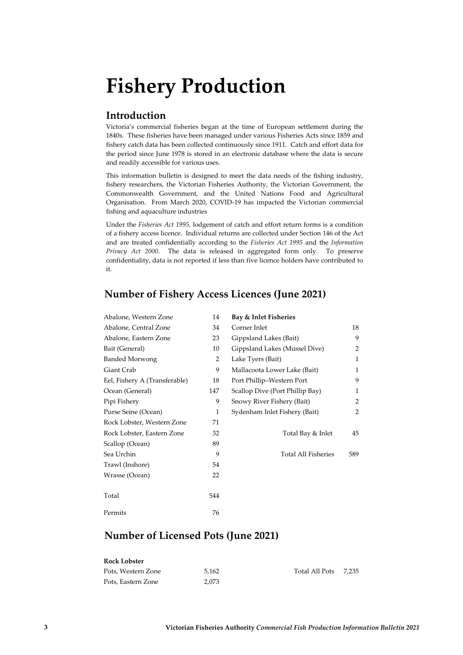# **Fishery Production**

## **Introduction**

Victoria's commercial fisheries began at the time of European settlement during the 1840s. These fisheries have been managed under various Fisheries Acts since 1859 and fishery catch data has been collected continuously since 1911. Catch and effort data for the period since June 1978 is stored in an electronic database where the data is secure and readily accessible for various uses.

This information bulletin is designed to meet the data needs of the fishing industry, fishery researchers, the Victorian Fisheries Authority, the Victorian Government, the Commonwealth Government, and the United Nations Food and Agricultural Organisation. From March 2020, COVID‐19 has impacted the Victorian commercial fishing and aquaculture industries

Under the *Fisheries Act 1995,* lodgement of catch and effort return forms is a condition of a fishery access licence. Individual returns are collected under Section 146 of the Act and are treated confidentially according to the *Fisheries Act 1995* and the *Information Privacy Act 2000*. The data is released in aggregated form only. To preserve confidentiality, data is not reported if less than five licence holders have contributed to it.

## **Number of Fishery Access Licences (June 2021)**

| Abalone, Western Zone         | 14  | Bay & Inlet Fisheries           |              |
|-------------------------------|-----|---------------------------------|--------------|
| Abalone, Central Zone         | 34  | Corner Inlet                    | 18           |
| Abalone, Eastern Zone         | 23  | Gippsland Lakes (Bait)          | 9            |
| Bait (General)                | 10  | Gippsland Lakes (Mussel Dive)   | 2            |
| <b>Banded Morwong</b>         | 2   | Lake Tyers (Bait)               | $\mathbf{1}$ |
| Giant Crab                    | 9   | Mallacoota Lower Lake (Bait)    | $\mathbf{1}$ |
| Eel, Fishery A (Transferable) | 18  | Port Phillip-Western Port       | 9            |
| Ocean (General)               | 147 | Scallop Dive (Port Phillip Bay) | $\mathbf{1}$ |
| Pipi Fishery                  | 9   | Snowy River Fishery (Bait)      | 2            |
| Purse Seine (Ocean)           | 1   | Sydenham Inlet Fishery (Bait)   | 2            |
| Rock Lobster, Western Zone    | 71  |                                 |              |
| Rock Lobster, Eastern Zone    | 32  | Total Bay & Inlet               | 45           |
| Scallop (Ocean)               | 89  |                                 |              |
| Sea Urchin                    | 9   | <b>Total All Fisheries</b>      | 589          |
| Trawl (Inshore)               | 54  |                                 |              |
| Wrasse (Ocean)                | 22  |                                 |              |
| Total                         | 544 |                                 |              |
| Permits                       | 76  |                                 |              |

## **Number of Licensed Pots (June 2021)**

| Rock Lobster       |       |                |       |
|--------------------|-------|----------------|-------|
| Pots, Western Zone | 5.162 | Total All Pots | 7.235 |
| Pots, Eastern Zone | 2.073 |                |       |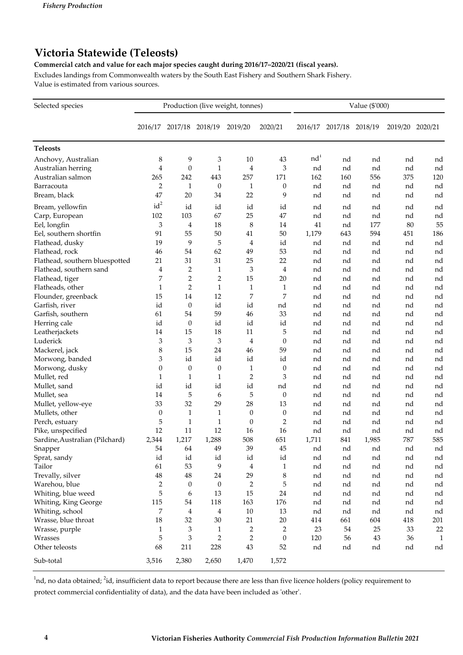# **Victoria Statewide (Teleosts)**

**Commercial catch and value for each major species caught during 2016/17–2020/21 (fiscal years).**

Excludes landings from Commonwealth waters by the South East Fishery and Southern Shark Fishery. Value is estimated from various sources.

| Selected species               |                  |                         |                  | Production (live weight, tonnes) |                  | Value (\$'000)  |         |         |         |         |  |  |
|--------------------------------|------------------|-------------------------|------------------|----------------------------------|------------------|-----------------|---------|---------|---------|---------|--|--|
|                                | 2016/17          | 2017/18                 | 2018/19          | 2019/20                          | 2020/21          | 2016/17         | 2017/18 | 2018/19 | 2019/20 | 2020/21 |  |  |
| <b>Teleosts</b>                |                  |                         |                  |                                  |                  |                 |         |         |         |         |  |  |
| Anchovy, Australian            | 8                | 9                       | 3                | 10                               | 43               | nd <sup>1</sup> | nd      | nd      | nd      | nd      |  |  |
| Australian herring             | 4                | $\boldsymbol{0}$        | $\mathbf{1}$     | $\overline{4}$                   | 3                | nd              | nd      | nd      | nd      | nd      |  |  |
| Australian salmon              | 265              | 242                     | 443              | 257                              | 171              | 162             | 160     | 556     | 375     | 120     |  |  |
| Barracouta                     | 2                | 1                       | $\theta$         | 1                                | $\theta$         | nd              | nd      | nd      | nd      | nd      |  |  |
| Bream, black                   | 47               | 20                      | 34               | 22                               | 9                | nd              | nd      | nd      | nd      | nd      |  |  |
| Bream, yellowfin               | $id^2$           | id                      | id               | id                               | id               | nd              | nd      | nd      | nd      | nd      |  |  |
| Carp, European                 | 102              | 103                     | 67               | 25                               | 47               | nd              | nd      | nd      | nd      | nd      |  |  |
| Eel, longfin                   | 3                | 4                       | 18               | 8                                | 14               | 41              | nd      | 177     | 80      | 55      |  |  |
| Eel, southern shortfin         | 91               | 55                      | $50\,$           | 41                               | 50               | 1,179           | 643     | 594     | 451     | 186     |  |  |
| Flathead, dusky                | 19               | 9                       | 5                | 4                                | id               | nd              | nd      | nd      | nd      | nd      |  |  |
| Flathead, rock                 | 46               | 54                      | 62               | 49                               | 53               | nd              | nd      | nd      | nd      | nd      |  |  |
| Flathead, southern bluespotted | 21               | 31                      | 31               | 25                               | 22               | nd              | nd      | nd      | nd      | nd      |  |  |
| Flathead, southern sand        | 4                | $\overline{c}$          | $\mathbf{1}$     | 3                                | $\overline{4}$   | nd              | nd      | nd      | nd      | nd      |  |  |
| Flathead, tiger                | 7                | $\mathbf 2$             | $\overline{2}$   | 15                               | 20               | nd              | nd      | nd      | nd      | nd      |  |  |
| Flatheads, other               | $\mathbf{1}$     | $\mathbf{2}$            | $\mathbf{1}$     | $\mathbf{1}$                     | $\mathbf{1}$     | nd              | nd      | nd      | nd      | nd      |  |  |
| Flounder, greenback            | 15               | 14                      | 12               | 7                                | 7                | nd              | nd      | nd      | nd      | nd      |  |  |
| Garfish, river                 | id               | $\boldsymbol{0}$        | id               | $\operatorname{id}$              | nd               | nd              | nd      | nd      | nd      | nd      |  |  |
| Garfish, southern              | 61               | 54                      | 59               | 46                               | 33               | nd              | nd      | nd      | nd      | nd      |  |  |
| Herring cale                   | id               | $\boldsymbol{0}$        | id               | id                               | id               | nd              | nd      | nd      | nd      | nd      |  |  |
| Leatherjackets                 | 14               | 15                      | 18               | 11                               | 5                | nd              | nd      | nd      | nd      | nd      |  |  |
| Luderick                       | 3                | 3                       | 3                | $\overline{4}$                   | $\boldsymbol{0}$ | nd              | nd      | nd      | nd      | nd      |  |  |
| Mackerel, jack                 | 8                | 15                      | 24               | 46                               | 59               | nd              | nd      | nd      | nd      | nd      |  |  |
| Morwong, banded                | 3                | id                      | id               | id                               | id               | nd              | nd      | nd      | nd      | nd      |  |  |
| Morwong, dusky                 | $\boldsymbol{0}$ | $\boldsymbol{0}$        | $\boldsymbol{0}$ | $\mathbf{1}$                     | $\theta$         | nd              | nd      | nd      | nd      | nd      |  |  |
| Mullet, red                    | $\mathbf{1}$     | $\mathbf{1}$            | $\mathbf{1}$     | $\overline{2}$                   | 3                | nd              | nd      | nd      | nd      | nd      |  |  |
| Mullet, sand                   | id               | id                      | id               | id                               | nd               | nd              | nd      | nd      | nd      | nd      |  |  |
| Mullet, sea                    | 14               | 5                       | 6                | 5                                | $\theta$         | nd              | nd      | nd      | nd      | nd      |  |  |
| Mullet, yellow-eye             | 33               | 32                      | 29               | 28                               | 13               | nd              | nd      | nd      | nd      | nd      |  |  |
| Mullets, other                 | 0                | $\mathbf{1}$            | $\mathbf{1}$     | $\mathbf{0}$                     | $\boldsymbol{0}$ | nd              | nd      | nd      | nd      | nd      |  |  |
| Perch, estuary                 | 5                | $\mathbf{1}$            | $\mathbf{1}$     | $\mathbf{0}$                     | 2                | nd              | nd      | nd      | nd      | nd      |  |  |
| Pike, unspecified              | 12               | 11                      | 12               | 16                               | 16               | nd              | nd      | nd      | nd      | nd      |  |  |
| Sardine, Australian (Pilchard) | 2,344            | 1,217                   | 1,288            | 508                              | 651              | 1,711           | 841     | 1,985   | 787     | 585     |  |  |
| Snapper                        | 54               | 64                      | 49               | 39                               | 45               | nd              | nd      | nd      | nd      | nd      |  |  |
| Sprat, sandy                   | id               | id                      | id               | id                               | id               | nd              | nd      | nd      | nd      | nd      |  |  |
| Tailor                         | 61               | 53                      | 9                | $\overline{4}$                   | $\mathbf{1}$     | nd              | nd      | nd      | nd      | nd      |  |  |
| Trevally, silver               | $48\,$           | $\rm 48$                | 24               | 29                               | 8                | nd              | nd      | nd      | nd      | nd      |  |  |
| Warehou, blue                  | 2                | $\boldsymbol{0}$        | $\mathbf{0}$     | $\overline{2}$                   | 5                | nd              | nd      | nd      | nd      | nd      |  |  |
| Whiting, blue weed             | 5                | 6                       | 13               | 15                               | 24               | nd              | nd      | nd      | nd      | nd      |  |  |
| Whiting, King George           | 115              | 54                      | 118              | 163                              | 176              | nd              | nd      | nd      | nd      | nd      |  |  |
| Whiting, school                | 7                | $\overline{\mathbf{4}}$ | $\overline{4}$   | $10\,$                           | 13               | nd              | nd      | nd      | nd      | nd      |  |  |
| Wrasse, blue throat            | 18               | 32                      | $30\,$           | 21                               | $20\,$           | 414             | 661     | 604     | 418     | 201     |  |  |
| Wrasse, purple                 | $\mathbf{1}$     | 3                       | $\mathbf{1}$     | 2                                | $\overline{2}$   | 23              | 54      | 25      | 33      | 22      |  |  |
| Wrasses                        | 5                | 3                       | $\overline{2}$   | $\overline{2}$                   | $\theta$         | 120             | 56      | 43      | 36      | 1       |  |  |
| Other teleosts                 | 68               | 211                     | 228              | 43                               | 52               | nd              | nd      | nd      | nd      | nd      |  |  |
| Sub-total                      | 3,516            | 2,380                   | 2,650            | 1,470                            | 1,572            |                 |         |         |         |         |  |  |

 $^1$ nd, no data obtained;  $^2$ id, insufficient data to report because there are less than five licence holders (policy requirement to protect commercial confidentiality of data), and the data have been included as ʹotherʹ.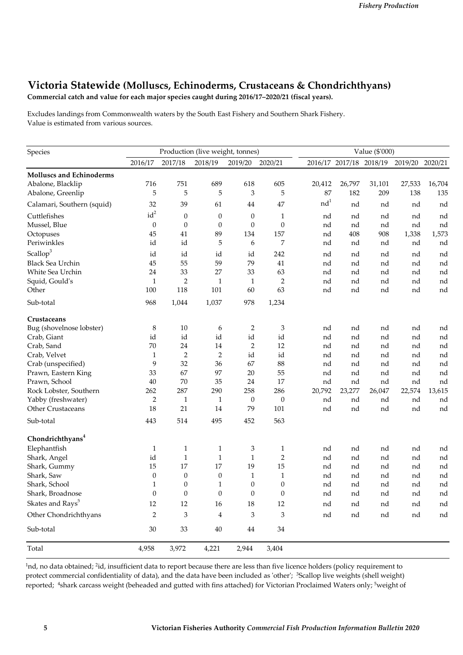## **Victoria Statewide (Molluscs, Echinoderms, Crustaceans & Chondrichthyans)**

**Commercial catch and value for each major species caught during 2016/17–2020/21 (fiscal years).**

Excludes landings from Commonwealth waters by the South East Fishery and Southern Shark Fishery. Value is estimated from various sources.

| Species                                                                                                                                                                                                                                                                          |                  |                  | Production (live weight, tonnes) |                  | Value (\$'000)   |                 |                         |        |                 |        |
|----------------------------------------------------------------------------------------------------------------------------------------------------------------------------------------------------------------------------------------------------------------------------------|------------------|------------------|----------------------------------|------------------|------------------|-----------------|-------------------------|--------|-----------------|--------|
|                                                                                                                                                                                                                                                                                  | 2016/17          | 2017/18          | 2018/19                          | 2019/20          | 2020/21          |                 | 2016/17 2017/18 2018/19 |        | 2019/20 2020/21 |        |
| <b>Molluscs and Echinoderms</b>                                                                                                                                                                                                                                                  |                  |                  |                                  |                  |                  |                 |                         |        |                 |        |
| Abalone, Blacklip                                                                                                                                                                                                                                                                | 716              | 751              | 689                              | 618              | 605              | 20,412          | 26,797                  | 31,101 | 27,533          | 16,704 |
| Abalone, Greenlip                                                                                                                                                                                                                                                                | 5                | 5                | 5                                | 3                | 5                | 87              | 182                     | 209    | 138             | 135    |
| Calamari, Southern (squid)                                                                                                                                                                                                                                                       | 32               | 39               | 61                               | 44               | 47               | nd <sup>1</sup> | nd                      | nd     | nd              | nd     |
| Cuttlefishes                                                                                                                                                                                                                                                                     | $id^2$           | $\boldsymbol{0}$ | $\boldsymbol{0}$                 | $\theta$         | $\mathbf{1}$     | nd              | nd                      | nd     | nd              | nd     |
| Mussel, Blue                                                                                                                                                                                                                                                                     | $\boldsymbol{0}$ | $\boldsymbol{0}$ | $\boldsymbol{0}$                 | $\theta$         | $\boldsymbol{0}$ | nd              | nd                      | nd     | nd              | nd     |
| Octopuses                                                                                                                                                                                                                                                                        | 45               | $41\,$           | 89                               | 134              | 157              | nd              | 408                     | 908    | 1,338           | 1,573  |
| Periwinkles                                                                                                                                                                                                                                                                      | id               | id               | 5                                | 6                | 7                | nd              | nd                      | nd     | nd              | nd     |
| Scallop <sup>3</sup>                                                                                                                                                                                                                                                             | id               | id               | id                               | id               | 242              | nd              | nd                      | nd     | nd              | nd     |
| <b>Black Sea Urchin</b>                                                                                                                                                                                                                                                          | 45               | 55               | 59                               | 79               | 41               | nd              | nd                      | nd     | nd              | nd     |
| White Sea Urchin                                                                                                                                                                                                                                                                 | 24               | 33               | 27                               | 33               | 63               | nd              | nd                      | nd     | nd              | nd     |
| Squid, Gould's                                                                                                                                                                                                                                                                   | $\mathbf{1}$     | 2                | $\mathbf{1}$                     | $\mathbf{1}$     | $\overline{c}$   | nd              | nd                      | nd     | nd              | nd     |
| Other                                                                                                                                                                                                                                                                            | 100              | 118              | 101                              | 60               | 63               | nd              | nd                      | nd     | nd              | nd     |
| Sub-total                                                                                                                                                                                                                                                                        | 968              | 1,044            | 1,037                            | 978              | 1,234            |                 |                         |        |                 |        |
| Crustaceans                                                                                                                                                                                                                                                                      |                  |                  |                                  |                  |                  |                 |                         |        |                 |        |
| Bug (shovelnose lobster)                                                                                                                                                                                                                                                         | 8                | 10               | 6                                | 2                | 3                | nd              | nd                      | nd     | nd              | nd     |
| Crab, Giant                                                                                                                                                                                                                                                                      | id               | id               | id                               | id               | id               | nd              | nd                      | nd     | nd              | nd     |
| Crab, Sand                                                                                                                                                                                                                                                                       | 70               | 24               | 14                               | $\overline{c}$   | 12               | nd              | nd                      | nd     | nd              | nd     |
| Crab, Velvet                                                                                                                                                                                                                                                                     | 1                | $\overline{2}$   | $\overline{2}$                   | id               | id               | nd              | nd                      | nd     | nd              | nd     |
| Crab (unspecified)                                                                                                                                                                                                                                                               | 9                | 32               | 36                               | 67               | 88               | nd              | nd                      | nd     | nd              | nd     |
| Prawn, Eastern King                                                                                                                                                                                                                                                              | 33               | 67               | 97                               | 20               | 55               | nd              | nd                      | nd     | nd              | nd     |
| Prawn, School                                                                                                                                                                                                                                                                    | 40               | $70\,$           | 35                               | 24               | 17               | nd              | nd                      | nd     | nd              | nd     |
| Rock Lobster, Southern                                                                                                                                                                                                                                                           | 262              | 287              | 290                              | 258              | 286              | 20,792          | 23,277                  | 26,047 | 22,574          | 13,615 |
| Yabby (freshwater)                                                                                                                                                                                                                                                               | $\overline{2}$   | $\mathbf{1}$     | $\mathbf{1}$                     | $\mathbf{0}$     | $\boldsymbol{0}$ | nd              | nd                      | nd     | nd              | nd     |
| Other Crustaceans                                                                                                                                                                                                                                                                | 18               | 21               | 14                               | 79               | 101              | nd              | nd                      | nd     | nd              | nd     |
| Sub-total                                                                                                                                                                                                                                                                        | 443              | 514              | 495                              | 452              | 563              |                 |                         |        |                 |        |
| Chondrichthyans <sup>4</sup>                                                                                                                                                                                                                                                     |                  |                  |                                  |                  |                  |                 |                         |        |                 |        |
| Elephantfish                                                                                                                                                                                                                                                                     | 1                | $\mathbf{1}$     | 1                                | 3                | 1                | nd              | nd                      | nd     | nd              | nd     |
| Shark, Angel                                                                                                                                                                                                                                                                     | id               | $\mathbf{1}$     | $\mathbf{1}$                     | $\mathbf{1}$     | $\overline{2}$   | nd              | nd                      | nd     | nd              | nd     |
| Shark, Gummy                                                                                                                                                                                                                                                                     | 15               | 17               | 17                               | 19               | 15               | nd              | nd                      | nd     | nd              | nd     |
| Shark, Saw                                                                                                                                                                                                                                                                       | $\boldsymbol{0}$ | $\boldsymbol{0}$ | $\boldsymbol{0}$                 | $\mathbf{1}$     | $\mathbf{1}$     | nd              | nd                      | nd     | nd              | nd     |
|                                                                                                                                                                                                                                                                                  | 1                | $\boldsymbol{0}$ | $\mathbf{1}$                     | $\boldsymbol{0}$ | $\boldsymbol{0}$ | nd              | nd                      | nd     | nd              | nd     |
|                                                                                                                                                                                                                                                                                  |                  | $\boldsymbol{0}$ | $\boldsymbol{0}$                 |                  |                  | nd              | nd                      | nd     | nd              | nd     |
|                                                                                                                                                                                                                                                                                  | 12               | $12\,$           | 16                               |                  | 12               | nd              | nd                      | nd     | nd              | nd     |
| Shark, School<br>Shark, Broadnose<br>$\boldsymbol{0}$<br>$\boldsymbol{0}$<br>$\boldsymbol{0}$<br>Skates and $\mathrm{Rays}^5$<br>$18\,$<br>Other Chondrichthyans<br>$\sqrt{2}$<br>3<br>$\ensuremath{\mathsf{3}}$<br>$\bf 4$<br>3<br>$30\,$<br>33<br>$40\,$<br>$\bf 44$<br>$34\,$ |                  |                  | nd                               | nd               | nd               | nd              | nd                      |        |                 |        |
| Sub-total                                                                                                                                                                                                                                                                        |                  |                  |                                  |                  |                  |                 |                         |        |                 |        |
| Total                                                                                                                                                                                                                                                                            | 4,958            | 3,972            | 4,221                            | 2,944            | 3,404            |                 |                         |        |                 |        |

<sup>1</sup>nd, no data obtained; <sup>2</sup>id, insufficient data to report because there are less than five licence holders (policy requirement to protect commercial confidentiality of data), and the data have been included as 'other'; <sup>3</sup>Scallop live weights (shell weight) reported; <sup>4</sup>shark carcass weight (beheaded and gutted with fins attached) for Victorian Proclaimed Waters only; <sup>5</sup>weight of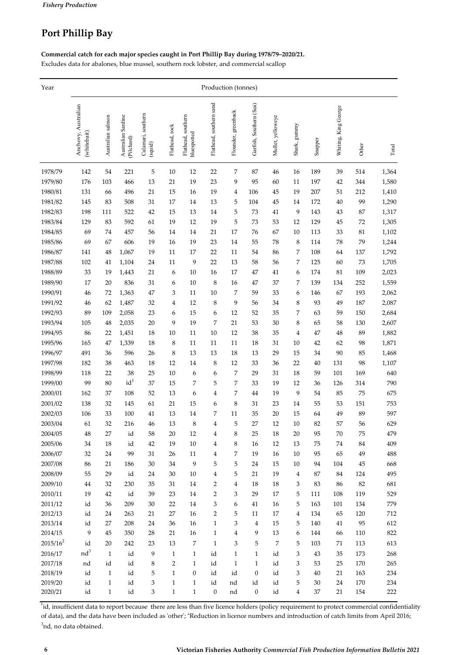## **Port Phillip Bay**

**Commercial catch for each major species caught in Port Phillip Bay during 1978/79–2020/21.**

Excludes data for abalones, blue mussel, southern rock lobster, and commercial scallop

| Year        | Production (tonnes)                |                   |                                  |                               |                         |                                   |                         |                     |                         |                   |                |         |                      |       |       |
|-------------|------------------------------------|-------------------|----------------------------------|-------------------------------|-------------------------|-----------------------------------|-------------------------|---------------------|-------------------------|-------------------|----------------|---------|----------------------|-------|-------|
|             | Anchovy, Australian<br>(whitebait) | Australian salmon | Australian Sardine<br>(Pilchard) | Calamari, southern<br>(squid) | Flathead, rock          | Flathead, southern<br>bluespotted | Flathead, southern sand | Flounder, greenback | Garfish, Southern (Sea) | Mullet, yelloweye | Shark, gunnny  | Snapper | Whiting, King George | Other | Total |
| 1978/79     | 142                                | 54                | 221                              | 5                             | 10                      | 12                                | 22                      | 7                   | 87                      | 46                | 16             | 189     | 39                   | 514   | 1,364 |
| 1979/80     | 176                                | 103               | 466                              | 13                            | 21                      | 19                                | 23                      | 9                   | 95                      | 60                | 11             | 197     | 42                   | 344   | 1,580 |
| 1980/81     | 131                                | 66                | 496                              | 21                            | 15                      | 16                                | 19                      | 4                   | 106                     | 45                | 19             | 207     | 51                   | 212   | 1,410 |
| 1981/82     | 145                                | 83                | 508                              | 31                            | $17\,$                  | 14                                | 13                      | 5                   | $104\,$                 | 45                | 14             | 172     | $40\,$               | 99    | 1,290 |
| 1982/83     | 198                                | 111               | 522                              | 42                            | 15                      | 13                                | 14                      | 5                   | 73                      | 41                | 9              | 143     | 43                   | 87    | 1,317 |
| 1983/84     | 129                                | 83                | 592                              | 61                            | 19                      | 12                                | 19                      | 5                   | 73                      | 53                | 12             | 129     | 45                   | 72    | 1,305 |
| 1984/85     | 69                                 | 74                | 457                              | 56                            | $14\,$                  | 14                                | 21                      | 17                  | 76                      | 67                | 10             | 113     | 33                   | 81    | 1,102 |
| 1985/86     | 69                                 | 67                | 606                              | 19                            | 16                      | 19                                | 23                      | 14                  | 55                      | 78                | 8              | 114     | 78                   | 79    | 1,244 |
| 1986/87     | 141                                | 48                | 1,067                            | 19                            | 11                      | 17                                | 22                      | 11                  | 54                      | 86                | 7              | 108     | 64                   | 137   | 1,792 |
| 1987/88     | 102                                | 41                | 1,104                            | 24                            | $11\,$                  | 9                                 | 22                      | 13                  | 58                      | 56                | 7              | 125     | 60                   | 73    | 1,705 |
| 1988/89     | 33                                 | 19                | 1,443                            | 21                            | 6                       | 10                                | 16                      | 17                  | 47                      | 41                | 6              | 174     | 81                   | 109   | 2,023 |
| 1989/90     | 17                                 | 20                | 836                              | 31                            | 6                       | 10                                | 8                       | 16                  | 47                      | 37                | 7              | 139     | 134                  | 252   | 1,559 |
| 1990/91     | 46                                 | 72                | 1,363                            | 47                            | 3                       | 11                                | 10                      | 7                   | 59                      | 33                | 6              | 146     | 67                   | 193   | 2,062 |
| 1991/92     | 46                                 | 62                | 1,487                            | 32                            | $\overline{\mathbf{4}}$ | 12                                | 8                       | 9                   | 56                      | 34                | 8              | 93      | 49                   | 187   | 2,087 |
| 1992/93     | 89                                 | 109               | 2,058                            | 23                            | 6                       | 15                                | 6                       | 12                  | 52                      | 35                | 7              | 63      | 59                   | 150   | 2,684 |
| 1993/94     | 105                                | 48                | 2,035                            | 20                            | 9                       | 19                                | 7                       | 21                  | 53                      | 30                | 8              | 65      | 58                   | 130   | 2,607 |
| 1994/95     | 86                                 | 22                | 1,451                            | 18                            | $10\,$                  | 11                                | 10                      | 12                  | 38                      | 35                | $\overline{4}$ | 47      | $\rm 48$             | 89    | 1,882 |
| 1995/96     | 165                                | 47                | 1,339                            | 18                            | 8                       | 11                                | 11                      | 11                  | 18                      | 31                | 10             | 42      | 62                   | 98    | 1,871 |
| 1996/97     | 491                                | 36                | 596                              | 26                            | $\,$ 8 $\,$             | 13                                | 13                      | 18                  | 13                      | 29                | 15             | 34      | 90                   | 85    | 1,468 |
| 1997/98     | 182                                | 38                | 463                              | 18                            | 12                      | 14                                | 8                       | 12                  | 33                      | 36                | 22             | 40      | 131                  | 98    | 1,107 |
| 1998/99     | 118                                | 22                | 38                               | 25                            | 10                      | 6                                 | 6                       | 7                   | 29                      | 31                | 18             | 59      | 101                  | 169   | 640   |
| 1999/00     | 99                                 | 80                | id <sup>1</sup>                  | 37                            | 15                      | 7                                 | 5                       | 7                   | 33                      | 19                | 12             | 36      | 126                  | 314   | 790   |
| 2000/01     | 162                                | 37                | 108                              | 52                            | 13                      | 6                                 | 4                       | 7                   | 44                      | 19                | 9              | 54      | 85                   | 75    | 675   |
| 2001/02     | 138                                | 32                | 145                              | 61                            | 21                      | 15                                | 6                       | 8                   | 31                      | 23                | 14             | 55      | 53                   | 151   | 753   |
| 2002/03     | 106                                | 33                | 100                              | 41                            | 13                      | 14                                | 7                       | 11                  | 35                      | 20                | 15             | 64      | 49                   | 89    | 597   |
| 2003/04     | 61                                 | 32                | 216                              | 46                            | 13                      | 8                                 | $\overline{4}$          | 5                   | 27                      | 12                | 10             | 82      | 57                   | 56    | 629   |
| 2004/05     | 48                                 | 27                | id                               | 58                            | 20                      | 12                                | 4                       | 8                   | 25                      | 18                | 20             | 95      | 70                   | 75    | 479   |
| 2005/06     | 34                                 | 18                | id                               | 42                            | 19                      | 10                                | 4                       | 8                   | 16                      | 12                | 13             | 75      | 74                   | 84    | 409   |
| 2006/07     | 32                                 | 24                | 99                               | 31                            | 26                      | 11                                | 4                       | 7                   | 19                      | 16                | 10             | 95      | 65                   | 49    | 488   |
| 2007/08     | 86                                 | 21                | 186                              | 30                            | 34                      | 9                                 | 5                       | 5                   | 24                      | 15                | 10             | 94      | 104                  | 45    | 668   |
| 2008/09     | 55                                 | 29                | id                               | 24                            | 30                      | 10                                | 4                       | 5                   | 21                      | 19                | 4              | $87\,$  | 84                   | 124   | 495   |
| 2009/10     | 44                                 | 32                | 230                              | 35                            | 31                      | 14                                | 2                       | 4                   | 18                      | 18                | 3              | 83      | 86                   | 82    | 681   |
| 2010/11     | 19                                 | 42                | id                               | 39                            | 23                      | 14                                | 2                       | 3                   | 29                      | 17                | 5              | 111     | 108                  | 119   | 529   |
| 2011/12     | id                                 | 36                | 209                              | 30                            | 22                      | 14                                | 3                       | 6                   | 41                      | 16                | 5              | 163     | 101                  | 134   | 779   |
| 2012/13     | id                                 | 24                | 263                              | 21                            | 27                      | 16                                | 2                       | 5                   | 11                      | 17                | 4              | 134     | 65                   | 120   | 712   |
| 2013/14     | id                                 | 27                | 208                              | 24                            | 36                      | 16                                | $\mathbf{1}$            | 3                   | 4                       | 15                | 5              | 140     | 41                   | 95    | 612   |
| 2014/15     | 9                                  | 45                | 350                              | 28                            | 21                      | 16                                | $\mathbf{1}$            | 4                   | 9                       | 13                | 6              | 144     | 66                   | 110   | 822   |
| $2015/16^2$ | id                                 | 20                | 242                              | 23                            | $13\,$                  | 7                                 | $\mathbf{1}$            | 3                   | 5                       | 7                 | 5              | 103     | 71                   | 113   | 613   |
| 2016/17     | nd <sup>3</sup>                    | $\mathbf{1}$      | id                               | 9                             | $\mathbf{1}$            | $\mathbf{1}$                      | id                      | $\mathbf{1}$        | $\mathbf{1}$            | id                | 3              | 43      | 35                   | 173   | 268   |
| 2017/18     | nd                                 | id                | id                               | 8                             | $\overline{2}$          | $\mathbf{1}$                      | $\operatorname{id}$     | $\mathbf{1}$        | $\mathbf{1}$            | id                | 3              | 53      | 25                   | 170   | 265   |
| 2018/19     | id                                 | $\mathbf{1}$      | id                               | 5                             | $\mathbf{1}$            | 0                                 | id                      | id                  | $\boldsymbol{0}$        | id                | 3              | 40      | 21                   | 163   | 234   |
| 2019/20     | id                                 | $\mathbf{1}$      | id                               | 3                             | $\mathbf{1}$            | $\mathbf{1}$                      | $\operatorname{id}$     | nd                  | id                      | id                | 5              | $30\,$  | 24                   | 170   | 234   |
| 2020/21     | id                                 | $\mathbf{1}$      | id                               | 3                             | $\mathbf{1}$            | $\mathbf{1}$                      | $\boldsymbol{0}$        | nd                  | $\boldsymbol{0}$        | id                | 4              | 37      | 21                   | 154   | 222   |

<sup>1</sup>id, insufficient data to report because there are less than five licence holders (policy requirement to protect commercial confidentiality of data), and the data have been included as 'other'; <sup>2</sup>Reduction in licence numbers and introduction of catch limits from April 2016;  $3$ nd, no data obtained.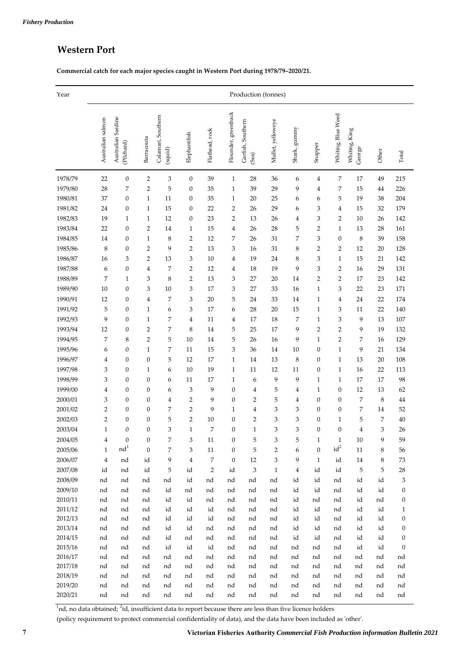## **Western Port**

**Commercial catch for each major species caught in Western Port during 1978/79–2020/21.**

| Year               | Production (tonnes) |                                     |                  |                               |                         |                |                     |                            |                   |              |                  |                    |                         |          |                  |
|--------------------|---------------------|-------------------------------------|------------------|-------------------------------|-------------------------|----------------|---------------------|----------------------------|-------------------|--------------|------------------|--------------------|-------------------------|----------|------------------|
|                    | Australian salmon   | Sardine<br>Australian<br>(Pilchard) | Barracouta       | Calamari, Southern<br>(squid) | Elephantfish            | Flathead, rock | Flounder, greenback | Garfish, Southern<br>(Sea) | Mullet, yelloweye | Shark, gummy | Snapper          | Whiting, Blue Weed | Whiting, King<br>George | Other    | Total            |
| 1978/79            | 22                  | $\boldsymbol{0}$                    | $\overline{2}$   | 3                             | $\boldsymbol{0}$        | 39             | $\mathbf{1}$        | 28                         | 36                | 6            | 4                | 7                  | 17                      | 49       | 215              |
| 1979/80            | 28                  | 7                                   | $\overline{2}$   | 5                             | $\boldsymbol{0}$        | 35             | $\mathbf{1}$        | 39                         | 29                | 9            | $\overline{4}$   | 7                  | 15                      | 44       | 226              |
| 1980/81            | 37                  | 0                                   | $\mathbf{1}$     | 11                            | $\boldsymbol{0}$        | 35             | $\mathbf{1}$        | 20                         | 25                | 6            | 6                | 5                  | 19                      | 38       | 204              |
| 1981/82            | 24                  | $\boldsymbol{0}$                    | $\mathbf{1}$     | 15                            | $\boldsymbol{0}$        | 22             | 2                   | 26                         | 29                | 6            | 3                | 4                  | 15                      | 32       | 179              |
| 1982/83            | 19                  | $\mathbf{1}$                        | $\mathbf{1}$     | 12                            | $\boldsymbol{0}$        | 23             | 2                   | 13                         | 26                | 4            | 3                | 2                  | 10                      | 26       | 142              |
| 1983/84            | 22                  | $\boldsymbol{0}$                    | 2                | 14                            | $\mathbf{1}$            | 15             | 4                   | 26                         | 28                | 5            | $\overline{2}$   | $\mathbf{1}$       | 13                      | 28       | 161              |
| 1984/85            | 14                  | $\boldsymbol{0}$                    | $\mathbf{1}$     | 8                             | $\overline{2}$          | 12             | 7                   | 26                         | 31                | 7            | 3                | $\boldsymbol{0}$   | 8                       | 39       | 158              |
| 1985/86            | 8                   | $\boldsymbol{0}$                    | 2                | 9                             | $\overline{2}$          | 13             | 3                   | 16                         | 31                | 8            | $\overline{2}$   | 2                  | 12                      | 20       | 128              |
| 1986/87            | 16                  | 3                                   | 2                | 13                            | 3                       | 10             | 4                   | 19                         | 24                | 8            | 3                | $\mathbf{1}$       | 15                      | 21       | 142              |
| 1987/88            | 6                   | $\boldsymbol{0}$                    | 4                | 7                             | $\overline{2}$          | 12             | 4                   | 18                         | 19                | 9            | 3                | 2                  | 16                      | 29       | 131              |
| 1988/89            | 7                   | $\mathbf{1}$                        | 3                | 8                             | $\overline{2}$          | 13             | 3                   | 27                         | 20                | 14           | 2                | 2                  | 17                      | 23       | 142              |
| 1989/90            | 10                  | $\boldsymbol{0}$                    | 3                | 10                            | 3                       | 17             | 3                   | 27                         | 33                | 16           | $\mathbf{1}$     | 3                  | 22                      | 23       | 171              |
| 1990/91            | 12                  | $\boldsymbol{0}$                    | 4                | 7                             | 3                       | 20             | 5                   | 24                         | 33                | 14           | $\mathbf{1}$     | 4                  | 24                      | 22       | 174              |
| 1991/92            | 5                   | $\boldsymbol{0}$                    | $\mathbf{1}$     | 6                             | 3                       | 17             | 6                   | 28                         | 20                | 15           | $\mathbf{1}$     | 3                  | 11                      | 22       | 140              |
| 1992/93            | 9                   | $\boldsymbol{0}$                    | $\mathbf{1}$     | 7                             | 4                       | 11             | 4                   | 17                         | 18                | 7            | $\mathbf{1}$     | 3                  | 9                       | 13       | 107              |
| 1993/94            | 12                  | $\boldsymbol{0}$                    | $\overline{2}$   | 7                             | 8                       | 14             | 5                   | 25                         | 17                | 9            | $\overline{2}$   | $\overline{2}$     | 9                       | 19       | 132              |
| 1994/95            | 7                   | 8                                   | $\overline{2}$   | 5                             | 10                      | 14             | 5                   | 26                         | 16                | 9            | $\mathbf{1}$     | 2                  | 7                       | 16       | 129              |
| 1995/96            | 6                   | $\boldsymbol{0}$                    | $\mathbf{1}$     | 7                             | 11                      | 15             | 3                   | 36                         | 14                | 10           | $\boldsymbol{0}$ | $\mathbf{1}$       | 9                       | 21       | 134              |
| 1996/97            | 4                   | $\boldsymbol{0}$                    | $\boldsymbol{0}$ | 5                             | 12                      | 17             | $\mathbf{1}$        | 14                         | 13                | 8            | $\boldsymbol{0}$ | $\mathbf{1}$       | 13                      | 20       | 108              |
| 1997/98            | 3                   | $\boldsymbol{0}$                    | $\mathbf{1}$     | 6                             | 10                      | 19             | $\mathbf{1}$        | 11                         | 12                | 11           | $\boldsymbol{0}$ | $\mathbf{1}$       | 16                      | 22       | 113              |
| 1998/99            | 3                   | $\boldsymbol{0}$                    | $\boldsymbol{0}$ | 6                             | 11                      | 17             | $\mathbf{1}$        | 6                          | 9                 | 9            | $\mathbf{1}$     | $\mathbf{1}$       | 17                      | 17       | 98               |
| 1999/00            | 4                   | $\boldsymbol{0}$                    | $\boldsymbol{0}$ | 6                             | 3                       | 9              | $\mathbf{0}$        | $\overline{4}$             | 5                 | 4            | $\mathbf{1}$     | 0                  | 12                      | 13       | 62               |
| 2000/01            | 3                   | $\boldsymbol{0}$                    | $\boldsymbol{0}$ | 4                             | $\overline{2}$          | 9              | $\boldsymbol{0}$    | $\overline{2}$             | 5                 | 4            | $\boldsymbol{0}$ | 0                  | 7                       | 8        | 44               |
| 2001/02            | 2                   | $\boldsymbol{0}$                    | $\boldsymbol{0}$ | 7                             | $\overline{\mathbf{c}}$ | 9              | 1                   | $\overline{4}$             | 3                 | 3            | $\boldsymbol{0}$ | 0                  | 7                       | 14       | 52               |
| 2002/03            | $\overline{2}$      | $\boldsymbol{0}$                    | $\boldsymbol{0}$ | 5                             | $\overline{\mathbf{c}}$ | 10             | 0                   | $\overline{2}$             | 3                 | 3            | $\boldsymbol{0}$ | 1                  | 5                       | 7        | $40\,$           |
| 2003/04            | $\mathbf{1}$        | $\boldsymbol{0}$                    | $\boldsymbol{0}$ | 3                             | $\mathbf{1}$            | 7              | 0                   | $\mathbf{1}$               | 3                 | 3            | $\boldsymbol{0}$ | $\boldsymbol{0}$   | 4                       | 3        | 26               |
| 2004/05            | 4                   | $\boldsymbol{0}$                    | 0                | 7                             | 3                       | $11\,$         | 0                   | 5                          | 3                 | 5            | $\mathbf{1}$     | $\mathbf{1}$       | 10                      | 9        | 59               |
| 2005/06            | $\mathbf{1}$        | nd <sup>1</sup>                     | $\mathbf{0}$     | 7                             | 3                       | 11             | $\boldsymbol{0}$    | 5                          | $\overline{2}$    | 6            | $\boldsymbol{0}$ | $id^2$             | $11\,$                  | 8        | 56               |
| 2006/07            | $\overline{4}$      | nd                                  | id               | 9                             | $\overline{4}$          | 7              | $\boldsymbol{0}$    | 12                         | 3                 | 9            | $1\,$            | id                 | $14\,$                  | 8        | 73               |
| 2007/08            | id                  | nd                                  | id               | 5                             | id                      | $\overline{2}$ | id                  | 3                          | $\mathbf{1}$      | $\bf 4$      | id               | id                 | 5                       | 5        | 28               |
| 2008/09            | nd                  | nd                                  | nd               | nd                            | id                      | nd             | nd                  | nd                         | nd                | id           | id               | nd                 | id                      | id       | 3                |
| 2009/10            | nd                  | nd                                  | nd               | id                            | nd                      | nd             | nd                  | nd                         | nd                | id           | id               | nd                 | id                      | id       | 0                |
| 2010/11            | nd                  | nd                                  | nd               | id                            | id                      | nd             | nd                  | nd                         | nd                | id           | nd               | nd                 | id                      | nd       | 0                |
| 2011/12            | nd                  | nd                                  | nd               | id                            | id                      | id             | nd                  | nd                         | nd                | id           | id               | nd                 | id                      | id       | 1                |
| 2012/13            | nd                  | nd                                  | nd               | id                            | id                      | id             | nd                  | nd                         | nd                | id           | id               | nd                 | id                      | id       | 0                |
| 2013/14            | nd                  | nd                                  | nd               | id                            | id                      | nd             | nd                  | nd                         | nd                | id           | id               | nd                 | id                      | id       | 0                |
| 2014/15            | nd                  | nd                                  | nd               | id                            | nd                      | nd             | nd                  | nd                         | nd                | id           | id               | nd                 | id                      | id       | $\boldsymbol{0}$ |
| 2015/16            | nd                  | nd                                  | nd               | id                            | id                      | id             | nd                  | nd                         | nd                | nd           | nd               | nd                 | id                      | id       | $\boldsymbol{0}$ |
| 2016/17            | nd                  | nd                                  | nd               | nd                            | nd                      | nd             | nd                  | nd                         | nd                | nd           | nd               | nd                 | nd                      | nd       | nd               |
| 2017/18            | nd                  | nd                                  | nd               | nd                            | nd                      | nd             | nd                  | nd                         | nd                | nd           | nd               | nd                 | nd                      | nd       | nd               |
| 2018/19            | nd                  | nd                                  | nd               | nd                            | nd                      | nd             | nd                  | nd                         | nd                | nd           | nd               | nd                 | nd                      | nd       | nd               |
| 2019/20<br>2020/21 | nd<br>nd            | nd<br>nd                            | nd<br>nd         | nd<br>nd                      | nd<br>nd                | nd<br>nd       | nd<br>nd            | nd<br>nd                   | nd<br>nd          | nd<br>nd     | nd<br>nd         | nd<br>nd           | nd<br>nd                | nd<br>nd | nd<br>nd         |

 $1$ nd, no data obtained;  $2$ id, insufficient data to report because there are less than five licence holders

(policy requirement to protect commercial confidentiality of data), and the data have been included as ʹotherʹ.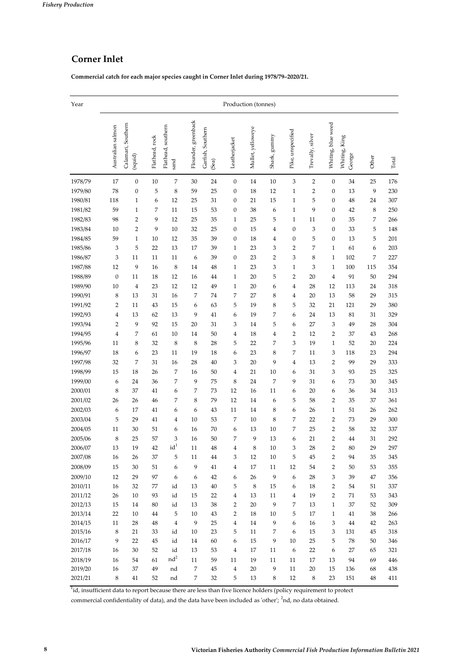## **Corner Inlet**

**Commercial catch for each major species caught in Corner Inlet during 1978/79–2020/21.**

| Year               | Production (tonnes) |                               |                |                            |                     |                            |                         |                   |                |                   |                  |                     |                         |                  |            |
|--------------------|---------------------|-------------------------------|----------------|----------------------------|---------------------|----------------------------|-------------------------|-------------------|----------------|-------------------|------------------|---------------------|-------------------------|------------------|------------|
|                    | Australian salmon   | Calamari, Southern<br>(squid) | Flathead, rock | Flathead, southern<br>sand | Flounder, greenback | Garfish, Southern<br>(Sea) | Leatherjacket           | Mullet, yelloweye | Shark, gummy   | Pike, unspecified | Trevally, silver | Whiting, blue weed  | Whiting, King<br>George | Other            | Total      |
| 1978/79            | 17                  | $\boldsymbol{0}$              | 10             | 7                          | 30                  | 24                         | $\boldsymbol{0}$        | 14                | 10             | 3                 | $\overline{2}$   | $\boldsymbol{0}$    | 34                      | 25               | 176        |
| 1979/80            | 78                  | $\boldsymbol{0}$              | 5              | 8                          | 59                  | 25                         | $\boldsymbol{0}$        | 18                | 12             | $\mathbf{1}$      | $\overline{2}$   | 0                   | 13                      | 9                | 230        |
| 1980/81            | 118                 | $\mathbf{1}$                  | 6              | 12                         | 25                  | 31                         | $\boldsymbol{0}$        | 21                | 15             | $\mathbf{1}$      | 5                | 0                   | 48                      | 24               | 307        |
| 1981/82            | 59                  | $\mathbf{1}$                  | 7              | 11                         | 15                  | 53                         | $\boldsymbol{0}$        | 38                | 6              | $\mathbf{1}$      | 9                | $\boldsymbol{0}$    | 42                      | 8                | 250        |
| 1982/83            | 98                  | $\overline{2}$                | 9              | 12                         | 25                  | 35                         | $\mathbf{1}$            | 25                | 5              | $\mathbf{1}$      | 11               | 0                   | 35                      | 7                | 266        |
| 1983/84            | 10                  | 2                             | 9              | 10                         | 32                  | 25                         | $\boldsymbol{0}$        | 15                | $\overline{4}$ | $\boldsymbol{0}$  | 3                | 0                   | 33                      | 5                | 148        |
| 1984/85            | 59                  | $\mathbf{1}$                  | 10             | 12                         | 35                  | 39                         | $\boldsymbol{0}$        | 18                | $\overline{4}$ | $\boldsymbol{0}$  | 5                | 0                   | 13                      | 5                | 201        |
| 1985/86            | 3                   | 5                             | 22             | 13                         | 17                  | 39                         | $\mathbf{1}$            | 23                | 3              | 2                 | 7                | $\mathbf{1}$        | 61                      | 6                | 203        |
| 1986/87            | 3                   | 11                            | 11             | 11                         | 6                   | 39                         | $\boldsymbol{0}$        | 23                | $\overline{2}$ | 3                 | 8                | $\mathbf{1}$        | 102                     | $\boldsymbol{7}$ | 227        |
| 1987/88            | 12                  | 9                             | 16             | 8                          | 14                  | 48                         | $\mathbf{1}$            | 23                | 3              | $\mathbf{1}$      | 3                | $\mathbf{1}$        | 100                     | 115              | 354        |
| 1988/89            | $\boldsymbol{0}$    | 11                            | 18             | 12                         | 16                  | 44                         | $\mathbf{1}$            | 20                | 5              | $\overline{2}$    | 20               | 4                   | 91                      | 50               | 294        |
| 1989/90            | 10                  | $\overline{4}$                | 23             | 12                         | 12                  | 49                         | $\mathbf{1}$            | 20                | 6              | 4                 | 28               | 12                  | 113                     | 24               | 318        |
| 1990/91            | 8                   | 13                            | 31             | 16                         | 7                   | 74                         | 7                       | 27                | 8              | 4                 | 20               | 13                  | 58                      | 29               | 315        |
| 1991/92            | 2                   | 11                            | 43             | 15                         | 6                   | 63                         | 5                       | 19                | 8              | 5                 | 32               | 21                  | 121                     | 29               | 380        |
| 1992/93            | 4                   | 13                            | 62             | 13                         | 9                   | 41                         | 6                       | 19                | 7              | 6                 | 24               | 13                  | 81                      | 31               | 329        |
| 1993/94            | $\overline{2}$      | 9                             | 92             | 15                         | 20                  | 31                         | 3                       | 14                | 5              | 6                 | 27               | 3                   | 49                      | 28               | 304        |
| 1994/95            | 4                   | 7                             | 61             | 10                         | 14                  | 50                         | 4                       | 18                | $\overline{4}$ | $\overline{2}$    | 12               | $\overline{c}$      | 37                      | 43               | 268        |
| 1995/96            | 11                  | 8                             | 32             | 8                          | 8                   | 28                         | 5                       | 22                | 7              | 3                 | 19               | $\mathbf{1}$        | 52                      | 20               | 224        |
| 1996/97            | 18                  | 6                             | 23             | 11                         | 19                  | 18                         | 6                       | 23                | 8              | 7                 | 11               | 3                   | 118                     | 23               | 294        |
| 1997/98            | 32                  | 7                             | 31             | 16                         | 28                  | 40                         | 3                       | 20                | 9              | 4                 | 13               | $\overline{2}$      | 99                      | 29               | 333        |
| 1998/99            | 15                  | 18                            | 26             | 7                          | 16                  | 50                         | 4                       | 21                | 10             | 6                 | 31               | 3                   | 93                      | 25               | 325        |
| 1999/00            | 6                   | 24                            | 36             | 7                          | 9                   | 75                         | 8                       | 24                | 7              | 9                 | 31               | 6                   | 73                      | 30               | 345        |
| 2000/01<br>2001/02 | 8<br>26             | 37<br>26                      | 41<br>46       | 6<br>7                     | 7<br>8              | 73<br>79                   | 12<br>12                | 16<br>14          | 11<br>6        | 6<br>5            | 20<br>58         | 6<br>$\overline{c}$ | 36<br>35                | 34<br>37         | 313<br>361 |
| 2002/03            | 6                   | 17                            | 41             | 6                          | 6                   | 43                         | 11                      | 14                | 8              | 6                 | 26               | $\mathbf{1}$        | 51                      | 26               | 262        |
| 2003/04            | 5                   | 29                            | 41             | $\overline{4}$             | $10\,$              | 53                         | 7                       | 10                | $\,8\,$        | 7                 | 22               | $\overline{c}$      | 73                      | 29               | 300        |
| 2004/05            | 11                  | 30                            | 51             | 6                          | 16                  | 70                         | 6                       | 13                | $10\,$         | 7                 | 25               | $\overline{c}$      | 58                      | 32               | 337        |
| 2005/06            | 8                   | 25                            | 57             | 3                          | 16                  | 50                         | 7                       | 9                 | 13             | 6                 | 21               | $\overline{c}$      | 44                      | 31               | 292        |
| 2006/07            | 13                  | 19                            | 42             | $id^1$                     | 11                  | 48                         | 4                       | 8                 | 10             | З                 | 28               | 2                   | 80                      | 29               | 297        |
| 2007/08            | 16                  | 26                            | 37             | 5                          | 11                  | 44                         | 3                       | 12                | $10\,$         | 5                 | 45               | 2                   | 94                      | 35               | 345        |
| 2008/09            | 15                  | 30                            | 51             | 6                          | 9                   | 41                         | $\overline{\mathbf{4}}$ | 17                | 11             | 12                | 54               | $\overline{2}$      | 50                      | 53               | 355        |
| 2009/10            | 12                  | 29                            | 97             | 6                          | 6                   | 42                         | 6                       | 26                | 9              | 6                 | 28               | 3                   | 39                      | 47               | 356        |
| 2010/11            | 16                  | 32                            | 77             | id                         | 13                  | 40                         | 5                       | 8                 | 15             | 6                 | 18               | $\overline{2}$      | 54                      | 51               | 337        |
| 2011/12            | 26                  | 10                            | 93             | id                         | 15                  | 22                         | $\overline{4}$          | 13                | 11             | 4                 | 19               | $\overline{2}$      | 71                      | 53               | 343        |
| 2012/13            | 15                  | 14                            | 80             | id                         | 13                  | 38                         | 2                       | 20                | 9              | 7                 | 13               | $\mathbf{1}$        | 37                      | 52               | 309        |
| 2013/14            | 22                  | 10                            | 44             | 5                          | 10                  | 43                         | 2                       | 18                | 10             | 5                 | 17               | $\mathbf{1}$        | 41                      | 38               | 266        |
| 2014/15            | 11                  | 28                            | 48             | $\bf{4}$                   | 9                   | 25                         | 4                       | 14                | 9              | 6                 | 16               | 3                   | 44                      | 42               | 263        |
| 2015/16            | $\,8\,$             | 21                            | 33             | id                         | $10\,$              | 23                         | 5                       | 11                | $\sqrt{2}$     | 6                 | 15               | 3                   | 131                     | 45               | 318        |
| 2016/17            | 9                   | 22                            | 45             | id                         | 14                  | 60                         | 6                       | 15                | 9              | $10\,$            | 25               | 5                   | 78                      | 50               | 346        |
| 2017/18            | 16                  | 30                            | 52             | id                         | 13                  | 53                         | $\overline{\mathbf{4}}$ | 17                | 11             | 6                 | 22               | $\boldsymbol{6}$    | 27                      | 65               | 321        |
| 2018/19            | 16                  | 54                            | 61             | $\rm nd^2$                 | 11                  | 59                         | 11                      | 19                | 11             | $11\,$            | 17               | 13                  | 94                      | 69               | 446        |
| 2019/20            | 16                  | 37                            | 49             | nd                         | $\overline{7}$      | 45                         | $\bf 4$                 | $20\,$            | 9              | $11\,$            | 20               | 15                  | 136                     | 68               | 438        |
| 2021/21            | 8                   | 41                            | 52             | nd                         | $\overline{7}$      | 32                         | 5                       | 13                | $\,$ 8 $\,$    | 12                | $\,8\,$          | 23                  | 151                     | 48               | 411        |

<sup>1</sup>id, insufficient data to report because there are less than five licence holders (policy requirement to protect

commercial confidentiality of data), and the data have been included as 'other'; <sup>2</sup>nd, no data obtained.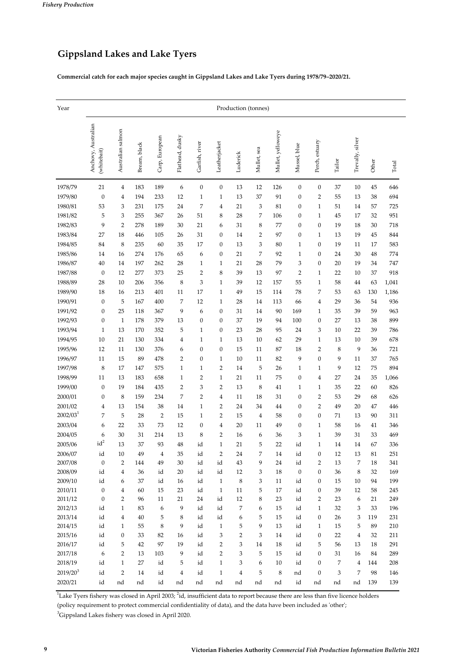## **Gippsland Lakes and Lake Tyers**

**Commercial catch for each major species caught in Gippsland Lakes and Lake Tyers during 1978/79–2020/21.**

| Year                 | Production (tonnes)                |                         |              |                |                 |                  |                  |                         |             |                   |                  |                  |        |                  |       |       |
|----------------------|------------------------------------|-------------------------|--------------|----------------|-----------------|------------------|------------------|-------------------------|-------------|-------------------|------------------|------------------|--------|------------------|-------|-------|
|                      | Anchovy, Australian<br>(whitebait) | Australian salmon       | Bream, black | Carp, European | Flathead, dusky | Garfish, river   | Leatherjacket    | Luderick                | Mullet, sea | Mullet, yelloweye | Mussel, blue     | Perch, estuary   | Tailor | Trevally, silver | Other | Total |
| 1978/79              | 21                                 | $\bf{4}$                | 183          | 189            | 6               | $\boldsymbol{0}$ | $\boldsymbol{0}$ | 13                      | 12          | 126               | $\boldsymbol{0}$ | $\boldsymbol{0}$ | 37     | 10               | 45    | 646   |
| 1979/80              | $\boldsymbol{0}$                   | 4                       | 194          | 233            | 12              | $\mathbf{1}$     | $\mathbf{1}$     | 13                      | 37          | 91                | $\boldsymbol{0}$ | $\overline{2}$   | 55     | 13               | 38    | 694   |
| 1980/81              | 53                                 | 3                       | 231          | 175            | 24              | 7                | $\overline{4}$   | 21                      | 3           | 81                | $\boldsymbol{0}$ | $\mathbf{1}$     | 51     | 14               | 57    | 725   |
| 1981/82              | 5                                  | 3                       | 255          | 367            | 26              | 51               | 8                | 28                      | 7           | 106               | $\boldsymbol{0}$ | $\mathbf{1}$     | 45     | 17               | 32    | 951   |
| 1982/83              | 9                                  | $\overline{\mathbf{c}}$ | 278          | 189            | 30              | 21               | 6                | 31                      | 8           | 77                | $\boldsymbol{0}$ | $\boldsymbol{0}$ | 19     | 18               | 30    | 718   |
| 1983/84              | 27                                 | 18                      | 446          | 105            | 26              | 31               | $\boldsymbol{0}$ | 14                      | 2           | 97                | $\boldsymbol{0}$ | $\mathbf{1}$     | 13     | 19               | 45    | 844   |
| 1984/85              | 84                                 | 8                       | 235          | 60             | 35              | 17               | $\boldsymbol{0}$ | 13                      | 3           | 80                | $\mathbf{1}$     | $\boldsymbol{0}$ | 19     | 11               | 17    | 583   |
| 1985/86              | 14                                 | 16                      | 274          | 176            | 65              | 6                | $\mathbf{0}$     | 21                      | 7           | 92                | $\mathbf{1}$     | $\boldsymbol{0}$ | 24     | 30               | 48    | 774   |
| 1986/87              | 40                                 | 14                      | 197          | 262            | 28              | $\mathbf{1}$     | $\mathbf{1}$     | 21                      | 28          | 79                | 3                | $\boldsymbol{0}$ | 20     | 19               | 34    | 747   |
|                      |                                    | 12                      |              |                |                 | $\overline{2}$   |                  | 39                      |             | 97                | $\overline{2}$   |                  | 22     | 10               |       | 918   |
| 1987/88              | $\boldsymbol{0}$                   |                         | 277          | 373            | 25              |                  | 8                |                         | 13          |                   |                  | $\mathbf{1}$     |        |                  | 37    |       |
| 1988/89              | 28                                 | 10                      | 206          | 356            | 8               | 3                | $\mathbf{1}$     | 39                      | 12          | 157               | 55               | $\mathbf{1}$     | 58     | 44               | 63    | 1,041 |
| 1989/90              | 18                                 | 16                      | 213          | 401            | 11              | 17               | $\mathbf{1}$     | 49                      | $15\,$      | 114               | 78               | 7                | 53     | 63               | 130   | 1,186 |
| 1990/91              | $\boldsymbol{0}$                   | 5                       | 167          | 400            | 7               | 12               | $\mathbf{1}$     | 28                      | 14          | 113               | 66               | $\overline{4}$   | 29     | 36               | 54    | 936   |
| 1991/92              | $\boldsymbol{0}$                   | 25                      | 118          | 367            | 9               | 6                | $\mathbf{0}$     | 31                      | 14          | 90                | 169              | $\mathbf{1}$     | 35     | 39               | 59    | 963   |
| 1992/93              | $\boldsymbol{0}$                   | $\mathbf{1}$            | 178          | 379            | 13              | $\boldsymbol{0}$ | $\boldsymbol{0}$ | 37                      | 19          | 94                | 100              | $\boldsymbol{0}$ | 27     | 13               | 38    | 899   |
| 1993/94              | $\mathbf{1}$                       | 13                      | 170          | 352            | 5               | $\mathbf{1}$     | $\boldsymbol{0}$ | 23                      | 28          | 95                | 24               | 3                | 10     | 22               | 39    | 786   |
| 1994/95              | 10                                 | 21                      | 130          | 334            | $\overline{4}$  | $\mathbf{1}$     | $\mathbf{1}$     | 13                      | 10          | 62                | 29               | $\mathbf{1}$     | 13     | 10               | 39    | 678   |
| 1995/96              | 12                                 | 11                      | 130          | 376            | 6               | $\boldsymbol{0}$ | $\mathbf{0}$     | 15                      | 11          | 87                | 18               | $\overline{2}$   | 8      | 9                | 36    | 721   |
| 1996/97              | 11                                 | 15                      | 89           | 478            | $\overline{2}$  | $\boldsymbol{0}$ | $\mathbf{1}$     | 10                      | 11          | 82                | 9                | $\boldsymbol{0}$ | 9      | 11               | 37    | 765   |
| 1997/98              | 8                                  | 17                      | 147          | 575            | $\mathbf{1}$    | $\mathbf{1}$     | $\overline{2}$   | 14                      | 5           | 26                | $\mathbf{1}$     | $\mathbf{1}$     | 9      | 12               | 75    | 894   |
| 1998/99              | 11                                 | 13                      | 183          | 658            | $\mathbf{1}$    | $\overline{2}$   | $\mathbf 1$      | 21                      | 11          | 75                | $\boldsymbol{0}$ | 4                | 27     | 24               | 35    | 1,066 |
| 1999/00              | 0                                  | 19                      | 184          | 435            | $\overline{2}$  | 3                | 2                | 13                      | 8           | 41                | $\mathbf{1}$     | $\mathbf{1}$     | 35     | 22               | 60    | 826   |
| 2000/01              | 0                                  | 8                       | 159          | 234            | 7               | $\overline{2}$   | $\bf 4$          | 11                      | 18          | 31                | $\boldsymbol{0}$ | $\overline{2}$   | 53     | 29               | 68    | 626   |
| 2001/02              | 4                                  | 13                      | 154          | 38             | 14              | $\mathbf{1}$     | $\overline{2}$   | 24                      | 34          | 44                | $\boldsymbol{0}$ | $\overline{2}$   | 49     | 20               | 47    | 446   |
| 2002/03 <sup>1</sup> | 7                                  | 5                       | 28           | $\overline{2}$ | 15              | $\mathbf{1}$     | $\overline{2}$   | 15                      | 4           | 58                | $\boldsymbol{0}$ | $\boldsymbol{0}$ | 71     | 13               | 90    | 311   |
| 2003/04              | 6                                  | 22                      | 33           | 73             | 12              | $\boldsymbol{0}$ | $\overline{4}$   | 20                      | 11          | 49                | $\boldsymbol{0}$ | $\mathbf{1}$     | 58     | 16               | 41    | 346   |
| 2004/05              | 6                                  | 30                      | 31           | 214            | 13              | 8                | $\overline{2}$   | 16                      | 6           | 36                | 3                | $\mathbf{1}$     | 39     | 31               | 33    | 469   |
| 2005/06              | $id^2$                             | 13                      | 37           | 93             | 48              | id               | $\mathbf{1}$     | 21                      | 5           | 22                | id               | $\mathbf{1}$     | 14     | 14               | 67    | 336   |
| 2006/07              | id                                 | 10                      | 49           | $\overline{4}$ | 35              | id               | 2                | 24                      | 7           | 14                | id               | $\boldsymbol{0}$ | 12     | 13               | 81    | 251   |
| 2007/08              | $\boldsymbol{0}$                   | $\overline{2}$          | 144          | 49             | 30              | id               | id               | 43                      | 9           | 24                | id               | 2                | 13     | 7                | 18    | 341   |
| 2008/09              | id                                 | $\overline{\mathbf{4}}$ | 36           | id             | 20              | id               | id               | 12                      | 3           | $18\,$            | $\boldsymbol{0}$ | $\mathbf{0}$     | 36     | $\,8\,$          | 32    | 169   |
| 2009/10              | id                                 | 6                       | 37           | id             | 16              | id               | $\mathbf{1}$     | $\,$ 8 $\,$             | 3           | 11                | id               | $\boldsymbol{0}$ | 15     | 10               | 94    | 199   |
| 2010/11              | $\boldsymbol{0}$                   | $\bf{4}$                | 60           | 15             | 23              | id               | $\mathbf{1}$     | 11                      | 5           | 17                | id               | $\boldsymbol{0}$ | 39     | 12               | 58    | 245   |
| 2011/12              | $\boldsymbol{0}$                   | $\overline{2}$          | 96           | 11             | 21              | 24               | id               | 12                      | 8           | 23                | id               | $\overline{2}$   | 23     | 6                | 21    | 249   |
| 2012/13              | id                                 | $\mathbf{1}$            | 83           | 6              | 9               | id               | id               | 7                       | 6           | 15                | id               | $\mathbf{1}$     | 32     | 3                | 33    | 196   |
| 2013/14              | id                                 | $\bf{4}$                | 40           | 5              | $\,8\,$         | id               | id               | 6                       | 5           | 15                | id               | $\boldsymbol{0}$ | 26     | 3                | 119   | 231   |
| 2014/15              | id                                 | $\mathbf{1}$            | 55           | $\,8\,$        | 9               | id               | $\mathbf{1}$     | 5                       | 9           | 13                | id               | $\mathbf{1}$     | 15     | 5                | 89    | 210   |
| 2015/16              | id                                 | 0                       | 33           | 82             | 16              | id               | 3                | $\overline{2}$          | 3           | 14                | id               | $\boldsymbol{0}$ | 22     | $\overline{4}$   | 32    | 211   |
| 2016/17              | id                                 | 5                       | 42           | 97             | 19              | id               | $\overline{2}$   | 3                       | 14          | 18                | id               | 5                | 56     | 13               | 18    | 291   |
| 2017/18              | 6                                  | $\overline{2}$          | 13           | 103            | 9               | id               | $\overline{2}$   | 3                       | 5           | 15                | id               | $\boldsymbol{0}$ | 31     | 16               | 84    | 289   |
| 2018/19              | id                                 | $\mathbf{1}$            | 27           | id             | 5               | id               | $\mathbf 1$      | 3                       | 6           | $10\,$            | id               | $\boldsymbol{0}$ | 7      | $\overline{4}$   | 144   | 208   |
| $2019/20^{3}$        | id                                 | $\sqrt{2}$              | 14           | id             | $\overline{4}$  | id               | $\mathbf{1}$     | $\overline{\mathbf{4}}$ | 5           | $\,8\,$           | nd               | $\boldsymbol{0}$ | 3      | 7                | 98    | 146   |
| 2020/21              | id                                 | nd                      | nd           | id             | nd              | nd               | nd               | nd                      | nd          | nd                | id               | nd               | nd     | nd               | 139   | 139   |

<sup>1</sup>Lake Tyers fishery was closed in April 2003; <sup>2</sup>id, insufficient data to report because there are less than five licence holders (policy requirement to protect commercial confidentiality of data), and the data have been included as ʹotherʹ; <sup>3</sup>Gippsland Lakes fishery was closed in April 2020.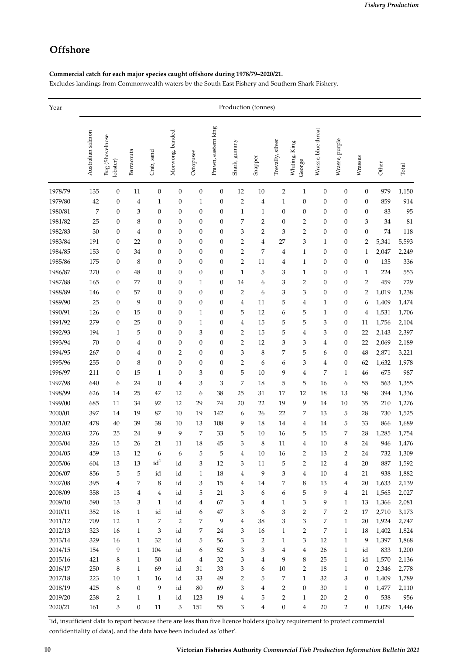## **Offshore**

#### **Commercial catch for each major species caught offshore during 1978/79–2020/21.**

Excludes landings from Commonwealth waters by the South East Fishery and Southern Shark Fishery.

| Year    | Production (tonnes) |                             |                  |                  |                  |                  |                     |                  |                |                  |                            |                     |                  |                  |       |       |
|---------|---------------------|-----------------------------|------------------|------------------|------------------|------------------|---------------------|------------------|----------------|------------------|----------------------------|---------------------|------------------|------------------|-------|-------|
|         | Australian salmon   | Bug (Shovelnose<br>lobster) | Barracouta       | Crab, sand       | Morwong, banded  | Octopuses        | Prawn, eastern king | kuunna<br>Shark, | Snapper        | Trevally, silver | King<br>Whiting.<br>George | Wrasse, blue throat | Wrasse, purple   | Wrasses          | Other | Total |
| 1978/79 | 135                 | $\boldsymbol{0}$            | 11               | $\boldsymbol{0}$ | $\boldsymbol{0}$ | $\boldsymbol{0}$ | $\boldsymbol{0}$    | 12               | 10             | $\overline{2}$   | $\mathbf{1}$               | $\boldsymbol{0}$    | $\boldsymbol{0}$ | $\boldsymbol{0}$ | 979   | 1,150 |
| 1979/80 | 42                  | $\boldsymbol{0}$            | 4                | $\mathbf{1}$     | $\boldsymbol{0}$ | $\mathbf{1}$     | $\boldsymbol{0}$    | $\overline{2}$   | 4              | 1                | $\boldsymbol{0}$           | $\boldsymbol{0}$    | $\boldsymbol{0}$ | 0                | 859   | 914   |
| 1980/81 | 7                   | $\boldsymbol{0}$            | 3                | $\boldsymbol{0}$ | 0                | $\boldsymbol{0}$ | $\boldsymbol{0}$    | $\mathbf{1}$     | $\mathbf{1}$   | $\boldsymbol{0}$ | $\boldsymbol{0}$           | $\boldsymbol{0}$    | $\boldsymbol{0}$ | 0                | 83    | 95    |
| 1981/82 | 25                  | $\boldsymbol{0}$            | 8                | $\boldsymbol{0}$ | $\boldsymbol{0}$ | $\boldsymbol{0}$ | $\boldsymbol{0}$    | 7                | 2              | $\boldsymbol{0}$ | $\overline{2}$             | $\boldsymbol{0}$    | $\boldsymbol{0}$ | 3                | 34    | 81    |
| 1982/83 | 30                  | $\boldsymbol{0}$            | 4                | $\boldsymbol{0}$ | $\boldsymbol{0}$ | $\boldsymbol{0}$ | 0                   | 3                | $\overline{2}$ | 3                | $\overline{2}$             | 0                   | $\boldsymbol{0}$ | $\boldsymbol{0}$ | 74    | 118   |
| 1983/84 | 191                 | $\boldsymbol{0}$            | 22               | $\boldsymbol{0}$ | 0                | $\boldsymbol{0}$ | $\boldsymbol{0}$    | 2                | 4              | 27               | 3                          | 1                   | $\boldsymbol{0}$ | 2                | 5,341 | 5,593 |
| 1984/85 | 153                 | $\boldsymbol{0}$            | 34               | $\boldsymbol{0}$ | 0                | $\boldsymbol{0}$ | $\boldsymbol{0}$    | $\overline{2}$   | 7              | 4                | $\mathbf{1}$               | 0                   | $\boldsymbol{0}$ | 1                | 2,047 | 2,249 |
| 1985/86 | 175                 | $\boldsymbol{0}$            | 8                | $\boldsymbol{0}$ | $\boldsymbol{0}$ | $\boldsymbol{0}$ | $\boldsymbol{0}$    | $\overline{2}$   | 11             | 4                | $\mathbf{1}$               | 0                   | $\boldsymbol{0}$ | $\boldsymbol{0}$ | 135   | 336   |
| 1986/87 | 270                 | $\boldsymbol{0}$            | 48               | $\boldsymbol{0}$ | 0                | $\boldsymbol{0}$ | $\boldsymbol{0}$    | $\mathbf{1}$     | 5              | 3                | $\mathbf{1}$               | 0                   | $\boldsymbol{0}$ | 1                | 224   | 553   |
| 1987/88 | 165                 | $\boldsymbol{0}$            | 77               | $\boldsymbol{0}$ | 0                | $\mathbf{1}$     | 0                   | 14               | 6              | 3                | $\overline{2}$             | 0                   | $\boldsymbol{0}$ | 2                | 459   | 729   |
| 1988/89 | 146                 | $\boldsymbol{0}$            | 57               | $\boldsymbol{0}$ | $\boldsymbol{0}$ | $\boldsymbol{0}$ | $\boldsymbol{0}$    | $\overline{2}$   | 6              | 3                | 3                          | 0                   | $\boldsymbol{0}$ | 2                | 1,019 | 1,238 |
| 1989/90 | 25                  | $\boldsymbol{0}$            | 9                | $\boldsymbol{0}$ | $\boldsymbol{0}$ | $\boldsymbol{0}$ | 0                   | 4                | 11             | 5                | 4                          | 1                   | $\boldsymbol{0}$ | 6                | 1,409 | 1,474 |
| 1990/91 | 126                 | $\boldsymbol{0}$            | 15               | $\boldsymbol{0}$ | 0                | $\mathbf{1}$     | 0                   | 5                | 12             | 6                | 5                          | 1                   | $\boldsymbol{0}$ | 4                | 1,531 | 1,706 |
| 1991/92 | 279                 | $\boldsymbol{0}$            | 25               | $\boldsymbol{0}$ | 0                | $\mathbf{1}$     | $\boldsymbol{0}$    | 4                | 15             | 5                | 5                          | 3                   | $\boldsymbol{0}$ | 11               | 1,756 | 2,104 |
| 1992/93 | 194                 | $\mathbf{1}$                | 5                | $\boldsymbol{0}$ | $\boldsymbol{0}$ | 3                | 0                   | 2                | 15             | 5                | 4                          | 3                   | $\boldsymbol{0}$ | 22               | 2,143 | 2,397 |
| 1993/94 | 70                  | $\boldsymbol{0}$            | 4                | $\boldsymbol{0}$ | 0                | $\boldsymbol{0}$ | 0                   | $\overline{2}$   | 12             | 3                | 3                          | 4                   | $\boldsymbol{0}$ | 22               | 2,069 | 2,189 |
| 1994/95 | 267                 | $\boldsymbol{0}$            | 4                | $\boldsymbol{0}$ | 2                | $\boldsymbol{0}$ | $\boldsymbol{0}$    | 3                | 8              | 7                | 5                          | 6                   | $\boldsymbol{0}$ | 48               | 2,871 | 3,221 |
| 1995/96 | 255                 | $\boldsymbol{0}$            | 8                | $\boldsymbol{0}$ | 0                | $\boldsymbol{0}$ | 0                   | 2                | 6              | 6                | 3                          | 4                   | $\boldsymbol{0}$ | 62               | 1,632 | 1,978 |
| 1996/97 | 211                 | $\boldsymbol{0}$            | 15               | $\mathbf{1}$     | $\boldsymbol{0}$ | 3                | $\boldsymbol{0}$    | 5                | 10             | 9                | 4                          | 7                   | $\mathbf{1}$     | 46               | 675   | 987   |
| 1997/98 | 640                 | 6                           | 24               | $\boldsymbol{0}$ | 4                | 3                | 3                   | 7                | 18             | 5                | 5                          | 16                  | 6                | 55               | 563   | 1,355 |
| 1998/99 | 626                 | 14                          | 25               | 47               | 12               | 6                | 38                  | 25               | 31             | 17               | 12                         | 18                  | 13               | 58               | 394   | 1,336 |
| 1999/00 | 685                 | 11                          | 34               | 92               | 12               | 29               | 74                  | 20               | 22             | 19               | 9                          | 14                  | 10               | 35               | 210   | 1,276 |
| 2000/01 | 397                 | 14                          | 19               | 87               | 10               | 19               | 142                 | 6                | 26             | 22               | 7                          | 13                  | 5                | 28               | 730   | 1,525 |
| 2001/02 | 478                 | 40                          | 39               | 38               | 10               | 13               | 108                 | 9                | 18             | 14               | 4                          | 14                  | 5                | 33               | 866   | 1,689 |
| 2002/03 | 276                 | 25                          | 24               | 9                | 9                | 7                | 33                  | 5                | 10             | 16               | 5                          | 15                  | 7                | 28               | 1,285 | 1,754 |
| 2003/04 | 326                 | 15                          | 26               | 21               | 11               | 18               | 45                  | 3                | 8              | 11               | 4                          | 10                  | 8                | 24               | 946   | 1,476 |
| 2004/05 | 459                 | 13                          | 12               | 6                | 6                | 5                | 5                   | 4                | 10             | 16               | $\overline{2}$             | 13                  | $\overline{2}$   | 24               | 732   | 1,309 |
| 2005/06 | 604                 | 13                          | 13               | id <sup>1</sup>  | id               | 3                | 12                  | 3                | 11             | 5                | $\overline{2}$             | 12                  | 4                | 20               | 887   | 1,592 |
| 2006/07 | 856                 | 5                           | $\mathbf 5$      | id               | id               | $\mathbf{1}$     | 18                  | 4                | 9              | 3                | $\overline{4}$             | 10                  | 4                | 21               | 938   | 1,882 |
| 2007/08 | 395                 | $\overline{4}$              | 7                | 8                | id               | 3                | 15                  | 4                | 14             | 7                | 8                          | 13                  | 4                | 20               | 1,633 | 2,139 |
| 2008/09 | 358                 | 13                          | 4                | 4                | id               | 5                | 21                  | 3                | 6              | 6                | 5                          | 9                   | 4                | 21               | 1,565 | 2,027 |
| 2009/10 | 590                 | 13                          | 3                | $\mathbf{1}$     | id               | 4                | 67                  | 3                | 4              | $\mathbf{1}$     | 3                          | 9                   | $\mathbf{1}$     | 13               | 1,366 | 2,081 |
| 2010/11 | 352                 | 16                          | $\mathbf{1}$     | id               | id               | 6                | 47                  | 3                | 6              | 3                | $\overline{2}$             | 7                   | $\overline{2}$   | 17               | 2,710 | 3,173 |
| 2011/12 | 709                 | 12                          | $\mathbf{1}$     | 7                | 2                | 7                | 9                   | 4                | 38             | 3                | 3                          | 7                   | $\mathbf{1}$     | 20               | 1,924 | 2,747 |
| 2012/13 | 323                 | 16                          | $\mathbf{1}$     | 3                | id               | 7                | 24                  | 3                | 16             | $\mathbf{1}$     | $\overline{2}$             | 7                   | $\mathbf{1}$     | 18               | 1,402 | 1,824 |
| 2013/14 | 329                 | 16                          | $\mathbf{1}$     | 32               | id               | 5                | 56                  | 3                | 2              | $\mathbf{1}$     | 3                          | 12                  | $\mathbf{1}$     | 9                | 1,397 | 1,868 |
| 2014/15 | 154                 | 9                           | $\mathbf{1}$     | 104              | id               | 6                | 52                  | 3                | 3              | 4                | $\overline{4}$             | 26                  | $\mathbf{1}$     | id               | 833   | 1,200 |
| 2015/16 | 421                 | 8                           | $\mathbf{1}$     | 50               | id               | 4                | 32                  | 3                | 4              | 9                | 8                          | 25                  | $\mathbf{1}$     | id               | 1,570 | 2,136 |
| 2016/17 | 250                 | 8                           | $\mathbf{1}$     | 69               | id               | 31               | 33                  | 3                | 6              | 10               | $\overline{2}$             | 18                  | $\mathbf{1}$     | $\boldsymbol{0}$ | 2,346 | 2,778 |
| 2017/18 | 223                 | 10                          | $\mathbf{1}$     | 16               | id               | 33               | 49                  | 2                | 5              | 7                | $\mathbf{1}$               | 32                  | 3                | 0                | 1,409 | 1,789 |
| 2018/19 | 425                 | 6                           | $\boldsymbol{0}$ | 9                | id               | 80               | 69                  | 3                | 4              | 2                | $\boldsymbol{0}$           | 30                  | $\mathbf{1}$     | 0                | 1,477 | 2,110 |
| 2019/20 | 238                 | 2                           | $\mathbf{1}$     | $\mathbf{1}$     | id               | 123              | 19                  | 4                | 5              | 2                | $\mathbf{1}$               | 20                  | 2                | $\boldsymbol{0}$ | 538   | 956   |
| 2020/21 | 161                 | 3                           | $\boldsymbol{0}$ | 11               | 3                | 151              | 55                  | 3                | 4              | $\boldsymbol{0}$ | $\overline{4}$             | 20                  | $\overline{2}$   | 0                | 1,029 | 1,446 |

<sup>1</sup>id, insufficient data to report because there are less than five licence holders (policy requirement to protect commercial confidentiality of data), and the data have been included as ʹotherʹ.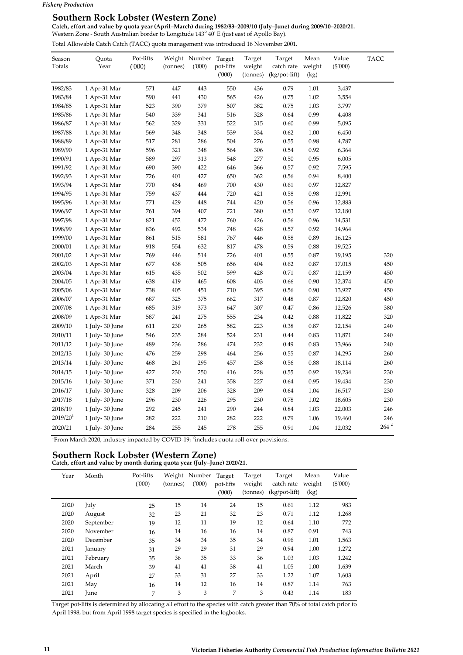#### **Southern Rock Lobster (Western Zone)**

**Catch, effort and value by quota year (April–March) during 1982/83–2009/10 (July–June) during 2009/10–2020/21.** Western Zone - South Australian border to Longitude 143<sup>°</sup> 40' E (just east of Apollo Bay).

Total Allowable Catch Catch (TACC) quota management was introduced 16 November 2001.

| Season<br>Totals       | Quota<br>Year  | Pot-lifts<br>(000) | (tonnes) | Weight Number<br>(1000) | Target<br>pot-lifts<br>(000) | Target<br>weight<br>(tonnes) | Target<br>catch rate<br>$(kg$ /pot-lift) | Mean<br>weight<br>(kg) | Value<br>$(\$'000)$ | TACC             |
|------------------------|----------------|--------------------|----------|-------------------------|------------------------------|------------------------------|------------------------------------------|------------------------|---------------------|------------------|
| 1982/83                | 1 Apr-31 Mar   | 571                | 447      | 443                     | 550                          | 436                          | 0.79                                     | 1.01                   | 3,437               |                  |
| 1983/84                | 1 Apr-31 Mar   | 590                | 441      | 430                     | 565                          | 426                          | 0.75                                     | 1.02                   | 3,554               |                  |
| 1984/85                | 1 Apr-31 Mar   | 523                | 390      | 379                     | 507                          | 382                          | 0.75                                     | 1.03                   | 3,797               |                  |
| 1985/86                | 1 Apr-31 Mar   | 540                | 339      | 341                     | 516                          | 328                          | 0.64                                     | 0.99                   | 4,408               |                  |
| 1986/87                | 1 Apr-31 Mar   | 562                | 329      | 331                     | 522                          | 315                          | 0.60                                     | 0.99                   | 5,095               |                  |
| 1987/88                | 1 Apr-31 Mar   | 569                | 348      | 348                     | 539                          | 334                          | 0.62                                     | 1.00                   | 6,450               |                  |
| 1988/89                | 1 Apr-31 Mar   | 517                | 281      | 286                     | 504                          | 276                          | 0.55                                     | 0.98                   | 4,787               |                  |
| 1989/90                | 1 Apr-31 Mar   | 596                | 321      | 348                     | 564                          | 306                          | 0.54                                     | 0.92                   | 6,364               |                  |
| 1990/91                | 1 Apr-31 Mar   | 589                | 297      | 313                     | 548                          | 277                          | 0.50                                     | 0.95                   | 6,005               |                  |
| 1991/92                | 1 Apr-31 Mar   | 690                | 390      | 422                     | 646                          | 366                          | 0.57                                     | 0.92                   | 7,595               |                  |
| 1992/93                | 1 Apr-31 Mar   | 726                | 401      | 427                     | 650                          | 362                          | 0.56                                     | 0.94                   | 8,400               |                  |
| 1993/94                | 1 Apr-31 Mar   | 770                | 454      | 469                     | 700                          | 430                          | 0.61                                     | 0.97                   | 12,827              |                  |
| 1994/95                | 1 Apr-31 Mar   | 759                | 437      | 444                     | 720                          | 421                          | 0.58                                     | 0.98                   | 12,991              |                  |
| 1995/96                | 1 Apr-31 Mar   | 771                | 429      | 448                     | 744                          | 420                          | 0.56                                     | 0.96                   | 12,883              |                  |
| 1996/97                | 1 Apr-31 Mar   | 761                | 394      | 407                     | 721                          | 380                          | 0.53                                     | 0.97                   | 12,180              |                  |
| 1997/98                | 1 Apr-31 Mar   | 821                | 452      | 472                     | 760                          | 426                          | 0.56                                     | 0.96                   | 14,531              |                  |
| 1998/99                | 1 Apr-31 Mar   | 836                | 492      | 534                     | 748                          | 428                          | 0.57                                     | 0.92                   | 14,964              |                  |
| 1999/00                | 1 Apr-31 Mar   | 861                | 515      | 581                     | 767                          | 446                          | 0.58                                     | 0.89                   | 16,125              |                  |
| 2000/01                | 1 Apr-31 Mar   | 918                | 554      | 632                     | 817                          | 478                          | 0.59                                     | 0.88                   | 19,525              |                  |
| 2001/02                | 1 Apr-31 Mar   | 769                | 446      | 514                     | 726                          | 401                          | 0.55                                     | 0.87                   | 19,195              | 320              |
| 2002/03                | 1 Apr-31 Mar   | 677                | 438      | 505                     | 656                          | 404                          | 0.62                                     | 0.87                   | 17,015              | 450              |
| 2003/04                | 1 Apr-31 Mar   | 615                | 435      | 502                     | 599                          | 428                          | 0.71                                     | 0.87                   | 12,159              | 450              |
| 2004/05                | 1 Apr-31 Mar   | 638                | 419      | 465                     | 608                          | 403                          | 0.66                                     | 0.90                   | 12,374              | 450              |
| 2005/06                | 1 Apr-31 Mar   | 738                | 405      | 451                     | 710                          | 395                          | 0.56                                     | 0.90                   | 13,927              | 450              |
| 2006/07                | 1 Apr-31 Mar   | 687                | 325      | 375                     | 662                          | 317                          | 0.48                                     | 0.87                   | 12,820              | 450              |
| 2007/08                | 1 Apr-31 Mar   | 685                | 319      | 373                     | 647                          | 307                          | 0.47                                     | 0.86                   | 12,526              | 380              |
| 2008/09                | 1 Apr-31 Mar   | 587                | 241      | 275                     | 555                          | 234                          | 0.42                                     | 0.88                   | 11,822              | 320              |
| 2009/10                | 1 July-30 June | 611                | 230      | 265                     | 582                          | 223                          | 0.38                                     | 0.87                   | 12,154              | 240              |
| 2010/11                | 1 July-30 June | 546                | 235      | 284                     | 524                          | 231                          | 0.44                                     | 0.83                   | 11,871              | 240              |
| 2011/12                | 1 July-30 June | 489                | 236      | 286                     | 474                          | 232                          | 0.49                                     | 0.83                   | 13,966              | 240              |
| 2012/13                | 1 July-30 June | 476                | 259      | 298                     | 464                          | 256                          | 0.55                                     | 0.87                   | 14,295              | 260              |
| 2013/14                | 1 July-30 June | 468                | 261      | 295                     | 457                          | 258                          | 0.56                                     | 0.88                   | 18,114              | 260              |
| 2014/15                | 1 July-30 June | 427                | 230      | 250                     | 416                          | 228                          | 0.55                                     | 0.92                   | 19,234              | 230              |
| 2015/16                | 1 July-30 June | 371                | 230      | 241                     | 358                          | 227                          | 0.64                                     | 0.95                   | 19,434              | 230              |
| 2016/17                | 1 July-30 June | 328                | 209      | 206                     | 328                          | 209                          | 0.64                                     | 1.04                   | 16,517              | 230              |
| 2017/18                | 1 July-30 June | 296                | 230      | 226                     | 295                          | 230                          | 0.78                                     | 1.02                   | 18,605              | 230              |
| 2018/19                | 1 July-30 June | 292                | 245      | 241                     | 290                          | 244                          | 0.84                                     | 1.03                   | 22,003              | 246              |
| $2019/20$ <sup>1</sup> | 1 July-30 June | 282                | 222      | 210                     | 282                          | 222                          | 0.79                                     | 1.06                   | 19,460              | 246              |
| 2020/21                | 1 July-30 June | 284                | 255      | 245                     | 278                          | 255                          | 0.91                                     | 1.04                   | 12,032              | $264$ $^{\rm 2}$ |

<sup>1</sup> From March 2020, industry impacted by COVID-19;  $^2$ includes quota roll-over provisions.

## **Southern Rock Lobster (Western Zone)**

**Catch, effort and value by month during quota year (July–June) 2020/21.**

| Year | Month     | Pot-lifts<br>(1000) | (tonnes) | Weight Number<br>(1000) | Target<br>pot-lifts<br>(000) | Target<br>weight<br>(tonnes) | Target<br>catch rate<br>$(kgpot-lift)$ | Mean<br>weight<br>(kg) | Value<br>$(\$'000)$ |
|------|-----------|---------------------|----------|-------------------------|------------------------------|------------------------------|----------------------------------------|------------------------|---------------------|
| 2020 | July      | 25                  | 15       | 14                      | 24                           | 15                           | 0.61                                   | 1.12                   | 983                 |
| 2020 | August    | 32                  | 23       | 21                      | 32                           | 23                           | 0.71                                   | 1.12                   | 1,268               |
| 2020 | September | 19                  | 12       | 11                      | 19                           | 12                           | 0.64                                   | 1.10                   | 772                 |
| 2020 | November  | 16                  | 14       | 16                      | 16                           | 14                           | 0.87                                   | 0.91                   | 743                 |
| 2020 | December  | 35                  | 34       | 34                      | 35                           | 34                           | 0.96                                   | 1.01                   | 1,563               |
| 2021 | Januarv   | 31                  | 29       | 29                      | 31                           | 29                           | 0.94                                   | 1.00                   | 1,272               |
| 2021 | February  | 35                  | 36       | 35                      | 33                           | 36                           | 1.03                                   | 1.03                   | 1,242               |
| 2021 | March     | 39                  | 41       | 41                      | 38                           | 41                           | 1.05                                   | 1.00                   | 1,639               |
| 2021 | April     | 27                  | 33       | 31                      | 27                           | 33                           | 1.22                                   | 1.07                   | 1,603               |
| 2021 | May       | 16                  | 14       | 12                      | 16                           | 14                           | 0.87                                   | 1.14                   | 763                 |
| 2021 | June      | 7                   | 3        | 3                       | 7                            | 3                            | 0.43                                   | 1.14                   | 183                 |

Target pot‐lifts is determined by allocating all effort to the species with catch greater than 70% of total catch prior to April 1998, but from April 1998 target species is specified in the logbooks.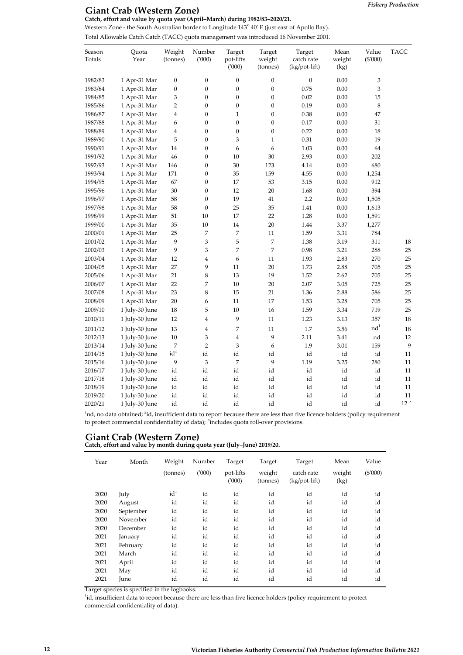### **Giant Crab (Western Zone)**

**Catch, effort and value by quota year (April–March) during 1982/83–2020/21.**

Western Zone - the South Australian border to Longitude 143<sup>°</sup> 40' E (just east of Apollo Bay). Total Allowable Catch Catch (TACC) quota management was introduced 16 November 2001.

| Season<br>Totals | Quota<br>Year  | Weight<br>(tonnes)   | Number<br>(1000) | Target<br>pot-lifts<br>(000) | Target<br>weight<br>(tonnes) | Target<br>catch rate<br>(kg/pot-lift) | Mean<br>weight<br>(kg) | Value<br>(\$'000) | <b>TACC</b>  |
|------------------|----------------|----------------------|------------------|------------------------------|------------------------------|---------------------------------------|------------------------|-------------------|--------------|
| 1982/83          | 1 Apr-31 Mar   | $\boldsymbol{0}$     | $\boldsymbol{0}$ | $\boldsymbol{0}$             | $\mathbf{0}$                 | $\boldsymbol{0}$                      | 0.00                   | 3                 |              |
| 1983/84          | 1 Apr-31 Mar   | $\boldsymbol{0}$     | $\boldsymbol{0}$ | $\boldsymbol{0}$             | $\boldsymbol{0}$             | 0.75                                  | 0.00                   | 3                 |              |
| 1984/85          | 1 Apr-31 Mar   | 3                    | $\boldsymbol{0}$ | $\boldsymbol{0}$             | $\boldsymbol{0}$             | 0.02                                  | 0.00                   | 15                |              |
| 1985/86          | 1 Apr-31 Mar   | $\overline{2}$       | $\boldsymbol{0}$ | $\boldsymbol{0}$             | $\boldsymbol{0}$             | 0.19                                  | 0.00                   | 8                 |              |
| 1986/87          | 1 Apr-31 Mar   | 4                    | $\boldsymbol{0}$ | $\mathbf{1}$                 | $\boldsymbol{0}$             | 0.38                                  | 0.00                   | 47                |              |
| 1987/88          | 1 Apr-31 Mar   | 6                    | $\boldsymbol{0}$ | $\boldsymbol{0}$             | $\boldsymbol{0}$             | 0.17                                  | $0.00\,$               | 31                |              |
| 1988/89          | 1 Apr-31 Mar   | $\overline{4}$       | $\boldsymbol{0}$ | $\boldsymbol{0}$             | $\boldsymbol{0}$             | 0.22                                  | 0.00                   | 18                |              |
| 1989/90          | 1 Apr-31 Mar   | 5                    | $\boldsymbol{0}$ | 3                            | $\mathbf{1}$                 | 0.31                                  | 0.00                   | 19                |              |
| 1990/91          | 1 Apr-31 Mar   | 14                   | $\boldsymbol{0}$ | 6                            | 6                            | 1.03                                  | 0.00                   | 64                |              |
| 1991/92          | 1 Apr-31 Mar   | 46                   | $\boldsymbol{0}$ | 10                           | 30                           | 2.93                                  | $0.00\,$               | 202               |              |
| 1992/93          | 1 Apr-31 Mar   | 146                  | $\boldsymbol{0}$ | 30                           | 123                          | 4.14                                  | 0.00                   | 680               |              |
| 1993/94          | 1 Apr-31 Mar   | 171                  | $\boldsymbol{0}$ | 35                           | 159                          | 4.55                                  | 0.00                   | 1,254             |              |
| 1994/95          | 1 Apr-31 Mar   | 67                   | $\boldsymbol{0}$ | 17                           | 53                           | 3.15                                  | 0.00                   | 912               |              |
| 1995/96          | 1 Apr-31 Mar   | 30                   | $\boldsymbol{0}$ | 12                           | $20\,$                       | 1.68                                  | $0.00\,$               | 394               |              |
| 1996/97          | 1 Apr-31 Mar   | 58                   | $\boldsymbol{0}$ | 19                           | 41                           | 2.2                                   | 0.00                   | 1,505             |              |
| 1997/98          | 1 Apr-31 Mar   | 58                   | $\boldsymbol{0}$ | 25                           | 35                           | 1.41                                  | 0.00                   | 1,613             |              |
| 1998/99          | 1 Apr-31 Mar   | 51                   | 10               | 17                           | 22                           | 1.28                                  | $0.00\,$               | 1,591             |              |
| 1999/00          | 1 Apr-31 Mar   | 35                   | $10\,$           | 14                           | $20\,$                       | 1.44                                  | 3.37                   | 1,277             |              |
| 2000/01          | 1 Apr-31 Mar   | 25                   | 7                | 7                            | 11                           | 1.59                                  | 3.31                   | 784               |              |
| 2001/02          | 1 Apr-31 Mar   | 9                    | 3                | 5                            | 7                            | 1.38                                  | 3.19                   | 311               | 18           |
| 2002/03          | 1 Apr-31 Mar   | 9                    | 3                | 7                            | 7                            | 0.98                                  | 3.21                   | 288               | 25           |
| 2003/04          | 1 Apr-31 Mar   | 12                   | $\overline{4}$   | 6                            | 11                           | 1.93                                  | 2.83                   | 270               | 25           |
| 2004/05          | 1 Apr-31 Mar   | 27                   | 9                | 11                           | 20                           | 1.73                                  | 2.88                   | 705               | 25           |
| 2005/06          | 1 Apr-31 Mar   | 21                   | 8                | 13                           | 19                           | 1.52                                  | 2.62                   | 705               | 25           |
| 2006/07          | 1 Apr-31 Mar   | 22                   | $\overline{7}$   | 10                           | 20                           | 2.07                                  | 3.05                   | 725               | 25           |
| 2007/08          | 1 Apr-31 Mar   | 23                   | 8                | 15                           | 21                           | 1.36                                  | 2.88                   | 586               | 25           |
| 2008/09          | 1 Apr-31 Mar   | $20\,$               | 6                | 11                           | 17                           | 1.53                                  | 3.28                   | 705               | 25           |
| 2009/10          | 1 July-30 June | 18                   | 5                | 10                           | 16                           | 1.59                                  | 3.34                   | 719               | 25           |
| 2010/11          | 1 July-30 June | 12                   | $\overline{4}$   | 9                            | 11                           | 1.23                                  | 3.13                   | 357               | 18           |
| 2011/12          | 1 July-30 June | 13                   | $\overline{4}$   | 7                            | $11\,$                       | 1.7                                   | 3.56                   | nd <sup>1</sup>   | 18           |
| 2012/13          | 1 July-30 June | $10\,$               | 3                | $\overline{4}$               | 9                            | 2.11                                  | 3.41                   | nd                | $12\,$       |
| 2013/14          | 1 July-30 June | 7                    | $\overline{2}$   | 3                            | 6                            | 1.9                                   | 3.01                   | 159               | 9            |
| 2014/15          | 1 July-30 June | $\mathrm{id}^\angle$ | id               | id                           | id                           | id                                    | id                     | id                | 11           |
| 2015/16          | 1 July-30 June | 9                    | 3                | 7                            | 9                            | 1.19                                  | 3.25                   | 280               | 11           |
| 2016/17          | 1 July-30 June | id                   | id               | id                           | id                           | id                                    | id                     | id                | 11           |
| 2017/18          | 1 July-30 June | id                   | id               | id                           | id                           | id                                    | id                     | id                | 11           |
| 2018/19          | 1 July-30 June | id                   | id               | id                           | id                           | id                                    | id                     | id                | 11           |
| 2019/20          | 1 July-30 June | id                   | id               | id                           | id                           | id                                    | id                     | id                | 11           |
| 2020/21          | 1 July-30 June | id                   | id               | id                           | id                           | id                                    | id                     | id                | $12^{\circ}$ |

<sup>1</sup>nd, no data obtained; <sup>2</sup>id, insufficient data to report because there are less than five licence holders (policy requirement to protect commercial confidentiality of data); <sup>3</sup>includes quota roll-over provisions.

## **Giant Crab (Western Zone)**

**Catch, effort and value by month during quota year (July–June) 2019/20.**

| Year | Month     | Weight<br>(tonnes) | Number<br>(1000) | Target<br>pot-lifts<br>(000) | Target<br>weight<br>(tonnes) | Target<br>catch rate<br>(kg/pot-lift) | Mean<br>weight<br>(kg) | Value<br>$(\$'000)$ |
|------|-----------|--------------------|------------------|------------------------------|------------------------------|---------------------------------------|------------------------|---------------------|
| 2020 | July      | $id^1$             | id               | id                           | id                           | id                                    | id                     | id                  |
| 2020 | August    | id                 | id               | id                           | id                           | id                                    | id                     | id                  |
| 2020 | September | id                 | id               | id                           | id                           | id                                    | id                     | id                  |
| 2020 | November  | id                 | id               | id                           | id                           | id                                    | id                     | id                  |
| 2020 | December  | id                 | id               | id                           | id                           | id                                    | id                     | id                  |
| 2021 | January   | id                 | id               | id                           | id                           | id                                    | id                     | id                  |
| 2021 | February  | id                 | id               | id                           | id                           | id                                    | id                     | id                  |
| 2021 | March     | id                 | id               | id                           | id                           | id                                    | id                     | id                  |
| 2021 | April     | id                 | id               | id                           | id                           | id                                    | id                     | id                  |
| 2021 | May       | id                 | id               | id                           | id                           | id                                    | id                     | id                  |
| 2021 | June      | id                 | id               | id                           | id                           | id                                    | id                     | id                  |

Target species is specified in the logbooks.

<sup>1</sup>id, insufficient data to report because there are less than five licence holders (policy requirement to protect commercial confidentiality of data).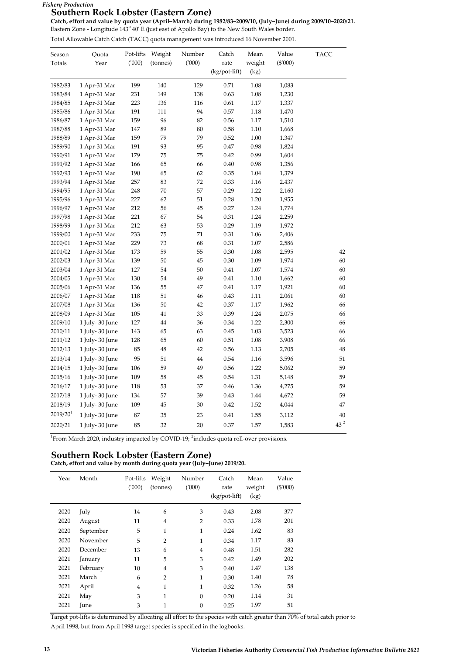#### *Fishery Production*

#### **Southern Rock Lobster (Eastern Zone)**

**Catch, effort and value by quota year (April–March) during 1982/83–2009/10, (July–June) during 2009/10–2020/21.**

Eastern Zone - Longitude 143° 40' E (just east of Apollo Bay) to the New South Wales border.

Total Allowable Catch Catch (TACC) quota management was introduced 16 November 2001.

| Season<br>Totals | Quota<br>Year   | Pot-lifts<br>(000) | Weight<br>(tonnes) | Number<br>(000) | Catch<br>rate  | Mean<br>weight | Value<br>$(\$'000)$ | <b>TACC</b> |
|------------------|-----------------|--------------------|--------------------|-----------------|----------------|----------------|---------------------|-------------|
|                  |                 |                    |                    |                 | $(kgpot-lift)$ | (kg)           |                     |             |
| 1982/83          | 1 Apr-31 Mar    | 199                | 140                | 129             | 0.71           | 1.08           | 1,083               |             |
| 1983/84          | 1 Apr-31 Mar    | 231                | 149                | 138             | 0.63           | $1.08\,$       | 1,230               |             |
| 1984/85          | 1 Apr-31 Mar    | 223                | 136                | 116             | 0.61           | 1.17           | 1,337               |             |
| 1985/86          | 1 Apr-31 Mar    | 191                | 111                | 94              | 0.57           | 1.18           | 1,470               |             |
| 1986/87          | 1 Apr-31 Mar    | 159                | 96                 | 82              | 0.56           | 1.17           | 1,510               |             |
| 1987/88          | 1 Apr-31 Mar    | 147                | 89                 | 80              | 0.58           | 1.10           | 1,668               |             |
| 1988/89          | 1 Apr-31 Mar    | 159                | 79                 | 79              | 0.52           | 1.00           | 1,347               |             |
| 1989/90          | 1 Apr-31 Mar    | 191                | 93                 | 95              | 0.47           | 0.98           | 1,824               |             |
| 1990/91          | 1 Apr-31 Mar    | 179                | 75                 | 75              | 0.42           | 0.99           | 1,604               |             |
| 1991/92          | 1 Apr-31 Mar    | 166                | 65                 | 66              | 0.40           | 0.98           | 1,356               |             |
| 1992/93          | 1 Apr-31 Mar    | 190                | 65                 | 62              | 0.35           | 1.04           | 1,379               |             |
| 1993/94          | 1 Apr-31 Mar    | 257                | 83                 | 72              | 0.33           | 1.16           | 2,437               |             |
| 1994/95          | 1 Apr-31 Mar    | 248                | 70                 | 57              | 0.29           | 1.22           | 2,160               |             |
| 1995/96          | 1 Apr-31 Mar    | 227                | 62                 | 51              | 0.28           | 1.20           | 1,955               |             |
| 1996/97          | 1 Apr-31 Mar    | 212                | 56                 | 45              | 0.27           | 1.24           | 1,774               |             |
| 1997/98          | 1 Apr-31 Mar    | 221                | 67                 | 54              | 0.31           | 1.24           | 2,259               |             |
| 1998/99          | 1 Apr-31 Mar    | 212                | 63                 | 53              | 0.29           | 1.19           | 1,972               |             |
| 1999/00          | 1 Apr-31 Mar    | 233                | 75                 | 71              | 0.31           | 1.06           | 2,406               |             |
| 2000/01          | 1 Apr-31 Mar    | 229                | 73                 | 68              | 0.31           | 1.07           | 2,586               |             |
| 2001/02          | 1 Apr-31 Mar    | 173                | 59                 | 55              | 0.30           | 1.08           | 2,595               | 42          |
| 2002/03          | 1 Apr-31 Mar    | 139                | 50                 | 45              | 0.30           | 1.09           | 1,974               | 60          |
| 2003/04          | 1 Apr-31 Mar    | 127                | 54                 | 50              | 0.41           | 1.07           | 1,574               | 60          |
| 2004/05          | 1 Apr-31 Mar    | 130                | 54                 | 49              | 0.41           | 1.10           | 1,662               | 60          |
| 2005/06          | 1 Apr-31 Mar    | 136                | 55                 | 47              | 0.41           | 1.17           | 1,921               | 60          |
| 2006/07          | 1 Apr-31 Mar    | 118                | 51                 | 46              | 0.43           | 1.11           | 2,061               | 60          |
| 2007/08          | 1 Apr-31 Mar    | 136                | 50                 | 42              | 0.37           | 1.17           | 1,962               | 66          |
| 2008/09          | 1 Apr-31 Mar    | 105                | 41                 | 33              | 0.39           | 1.24           | 2,075               | 66          |
| 2009/10          | 1 July-30 June  | 127                | 44                 | 36              | 0.34           | 1.22           | 2,300               | 66          |
| 2010/11          | 1 July-30 June  | 143                | 65                 | 63              | 0.45           | 1.03           | 3,523               | 66          |
| 2011/12          | 1 July-30 June  | 128                | 65                 | 60              | 0.51           | 1.08           | 3,908               | 66          |
| 2012/13          | 1 July-30 June  | 85                 | 48                 | 42              | 0.56           | 1.13           | 2,705               | 48          |
| 2013/14          | 1 July-30 June  | 95                 | 51                 | 44              | 0.54           | 1.16           | 3,596               | 51          |
| 2014/15          | 1 July-30 June  | 106                | 59                 | 49              | 0.56           | 1.22           | 5,062               | 59          |
| 2015/16          | 1 July-30 June  | 109                | 58                 | 45              | 0.54           | 1.31           | 5,148               | 59          |
| 2016/17          | 1 July- 30 June | 118                | 53                 | 37              | 0.46           | 1.36           | 4,275               | 59          |
| 2017/18          | 1 July- 30 June | 134                | 57                 | 39              | 0.43           | 1.44           | 4,672               | 59          |
| 2018/19          | 1 July-30 June  | 109                | 45                 | 30              | 0.42           | 1.52           | 4,044               | 47          |
| $2019/20^{1}$    | 1 July-30 June  | 87                 | 35                 | 23              | 0.41           | 1.55           | 3,112               | 40          |
|                  |                 |                    |                    |                 |                |                |                     | $43\,^2$    |
| 2020/21          | 1 July-30 June  | 85                 | 32                 | 20              | 0.37           | 1.57           | 1,583               |             |

<sup>1</sup> From March 2020, industry impacted by COVID-19;  $^2$ includes quota roll-over provisions.

#### **Southern Rock Lobster (Eastern Zone) Catch, effort and value by month during quota year (July–June) 2019/20.**

| Year | Month     | Pot-lifts<br>(1000) | Weight<br>(tonnes) | Number<br>(1000) | Catch<br>rate<br>(kg/pot-lift) | Mean<br>weight<br>(kg) | Value<br>$(\$'000)$ |
|------|-----------|---------------------|--------------------|------------------|--------------------------------|------------------------|---------------------|
| 2020 | July      | 14                  | 6                  | 3                | 0.43                           | 2.08                   | 377                 |
| 2020 | August    | 11                  | $\overline{4}$     | $\overline{2}$   | 0.33                           | 1.78                   | 201                 |
| 2020 | September | 5                   | $\mathbf{1}$       | $\mathbf{1}$     | 0.24                           | 1.62                   | 83                  |
| 2020 | November  | 5                   | $\overline{2}$     | $\mathbf{1}$     | 0.34                           | 1.17                   | 83                  |
| 2020 | December  | 13                  | 6                  | $\overline{4}$   | 0.48                           | 1.51                   | 282                 |
| 2021 | January   | 11                  | 5                  | 3                | 0.42                           | 1.49                   | 202                 |
| 2021 | February  | 10                  | $\overline{4}$     | 3                | 0.40                           | 1.47                   | 138                 |
| 2021 | March     | 6                   | $\overline{2}$     | $\mathbf{1}$     | 0.30                           | 1.40                   | 78                  |
| 2021 | April     | $\overline{4}$      | 1                  | $\mathbf{1}$     | 0.32                           | 1.26                   | 58                  |
| 2021 | May       | 3                   | $\mathbf{1}$       | $\mathbf{0}$     | 0.20                           | 1.14                   | 31                  |
| 2021 | June      | 3                   | 1                  | $\mathbf{0}$     | 0.25                           | 1.97                   | 51                  |

Target pot-lifts is determined by allocating all effort to the species with catch greater than 70% of total catch prior to April 1998, but from April 1998 target species is specified in the logbooks.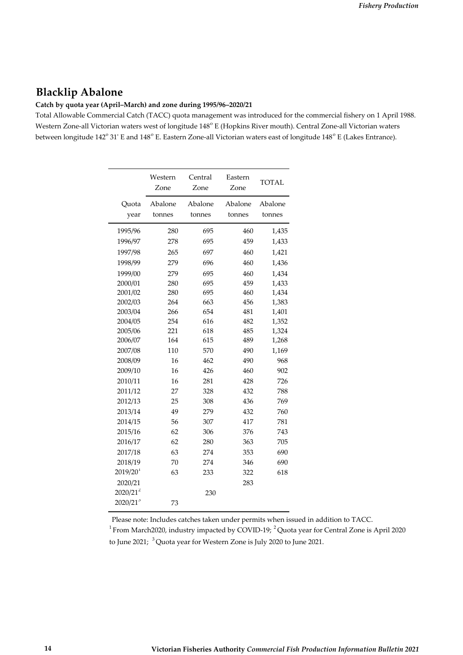## **Blacklip Abalone**

#### **Catch by quota year (April–March) and zone during 1995/96–2020/21**

Total Allowable Commercial Catch (TACC) quota management was introduced for the commercial fishery on 1 April 1988. Western Zone-all Victorian waters west of longitude 148<sup>°</sup> E (Hopkins River mouth). Central Zone-all Victorian waters between longitude 142° 31' E and 148° E. Eastern Zone-all Victorian waters east of longitude 148° E (Lakes Entrance).

|                        | Western<br>Zone | Central<br>Zone | Eastern<br>Zone | <b>TOTAL</b> |
|------------------------|-----------------|-----------------|-----------------|--------------|
| Quota                  | Abalone         | Abalone         | Abalone         | Abalone      |
| year                   | tonnes          | tonnes          | tonnes          | tonnes       |
| 1995/96                | 280             | 695             | 460             | 1,435        |
| 1996/97                | 278             | 695             | 459             | 1,433        |
| 1997/98                | 265             | 697             | 460             | 1,421        |
| 1998/99                | 279             | 696             | 460             | 1,436        |
| 1999/00                | 279             | 695             | 460             | 1,434        |
| 2000/01                | 280             | 695             | 459             | 1,433        |
| 2001/02                | 280             | 695             | 460             | 1,434        |
| 2002/03                | 264             | 663             | 456             | 1,383        |
| 2003/04                | 266             | 654             | 481             | 1,401        |
| 2004/05                | 254             | 616             | 482             | 1,352        |
| 2005/06                | 221             | 618             | 485             | 1,324        |
| 2006/07                | 164             | 615             | 489             | 1,268        |
| 2007/08                | 110             | 570             | 490             | 1,169        |
| 2008/09                | 16              | 462             | 490             | 968          |
| 2009/10                | 16              | 426             | 460             | 902          |
| 2010/11                | 16              | 281             | 428             | 726          |
| 2011/12                | 27              | 328             | 432             | 788          |
| 2012/13                | 25              | 308             | 436             | 769          |
| 2013/14                | 49              | 279             | 432             | 760          |
| 2014/15                | 56              | 307             | 417             | 781          |
| 2015/16                | 62              | 306             | 376             | 743          |
| 2016/17                | 62              | 280             | 363             | 705          |
| 2017/18                | 63              | 274             | 353             | 690          |
| 2018/19                | 70              | 274             | 346             | 690          |
| $2019/20$ <sup>1</sup> | 63              | 233             | 322             | 618          |
| 2020/21                |                 |                 | 283             |              |
| $2020/21^2$            |                 | 230             |                 |              |
| 2020/213               | 73              |                 |                 |              |

Please note: Includes catches taken under permits when issued in addition to TACC. <sup>1</sup> From March2020, industry impacted by COVID-19; <sup>2</sup> Quota year for Central Zone is April 2020 to June 2021; <sup>3</sup> Quota year for Western Zone is July 2020 to June 2021.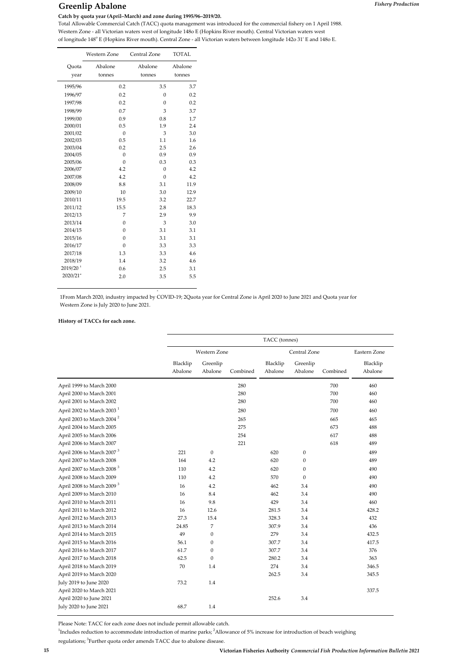## **Greenlip Abalone** *Fishery Production*

Western Zone - all Victorian waters west of longitude 1480 E (Hopkins River mouth). Central Victorian waters west of longitude 148o E (Hopkins River mouth). Central Zone ‐ all Victorian waters between longitude 142o 31ʹ E and 148o E.

|                        | Western Zone      | Central Zone      | <b>TOTAL</b>      |
|------------------------|-------------------|-------------------|-------------------|
| Quota<br>year          | Abalone<br>tonnes | Abalone<br>tonnes | Abalone<br>tonnes |
|                        |                   |                   |                   |
| 1995/96                | 0.2               | 3.5               | 3.7               |
| 1996/97                | 0.2               | $\Omega$          | 0.2               |
| 1997/98                | 0.2               | $\theta$          | 0.2               |
| 1998/99                | 0.7               | 3                 | 3.7               |
| 1999/00                | 0.9               | 0.8               | 1.7               |
| 2000/01                | 0.5               | 1.9               | 2.4               |
| 2001/02                | $\overline{0}$    | 3                 | 3.0               |
| 2002/03                | 0.5               | 1.1               | 1.6               |
| 2003/04                | 0.2               | 2.5               | 2.6               |
| 2004/05                | $\mathbf{0}$      | 0.9               | 0.9               |
| 2005/06                | $\theta$          | 0.3               | 0.3               |
| 2006/07                | 4.2               | $\mathbf{0}$      | 4.2               |
| 2007/08                | 4.2               | $\theta$          | 4.2               |
| 2008/09                | 8.8               | 3.1               | 11.9              |
| 2009/10                | 10                | 3.0               | 12.9              |
| 2010/11                | 19.5              | 3.2               | 22.7              |
| 2011/12                | 15.5              | 2.8               | 18.3              |
| 2012/13                | 7                 | 2.9               | 9.9               |
| 2013/14                | $\boldsymbol{0}$  | 3                 | 3.0               |
| 2014/15                | $\mathbf{0}$      | 3.1               | 3.1               |
| 2015/16                | $\mathbf{0}$      | 3.1               | 3.1               |
| 2016/17                | $\mathbf{0}$      | 3.3               | 3.3               |
| 2017/18                | 1.3               | 3.3               | 4.6               |
| 2018/19                | 1.4               | 3.2               | 4.6               |
| $2019/20$ <sup>1</sup> | 0.6               | 2.5               | 3.1               |
| $2020/21^2$            | 2.0               | 3.5               | 5.5               |
|                        |                   |                   |                   |

1From March 2020, industry impacted by COVID‐19; 2Quota year for Central Zone is April 2020 to June 2021 and Quota year for Western Zone is July 2020 to June 2021.

p

#### **History of TACCs for each zone.**

|                                       | TACC (tonnes)       |                     |          |                     |                     |          |                     |  |  |
|---------------------------------------|---------------------|---------------------|----------|---------------------|---------------------|----------|---------------------|--|--|
|                                       |                     | <b>Western Zone</b> |          |                     | Central Zone        |          | Eastern Zone        |  |  |
|                                       | Blacklip<br>Abalone | Greenlip<br>Abalone | Combined | Blacklip<br>Abalone | Greenlip<br>Abalone | Combined | Blacklip<br>Abalone |  |  |
| April 1999 to March 2000              |                     |                     | 280      |                     |                     | 700      | 460                 |  |  |
| April 2000 to March 2001              |                     |                     | 280      |                     |                     | 700      | 460                 |  |  |
| April 2001 to March 2002              |                     |                     | 280      |                     |                     | 700      | 460                 |  |  |
| April 2002 to March 2003 <sup>1</sup> |                     |                     | 280      |                     |                     | 700      | 460                 |  |  |
| April 2003 to March 2004 <sup>2</sup> |                     |                     | 265      |                     |                     | 665      | 465                 |  |  |
| April 2004 to March 2005              |                     |                     | 275      |                     |                     | 673      | 488                 |  |  |
| April 2005 to March 2006              |                     |                     | 254      |                     |                     | 617      | 488                 |  |  |
| April 2006 to March 2007              |                     |                     | 221      |                     |                     | 618      | 489                 |  |  |
| April 2006 to March 2007 <sup>3</sup> | 221                 | $\mathbf{0}$        |          | 620                 | $\boldsymbol{0}$    |          | 489                 |  |  |
| April 2007 to March 2008              | 164                 | 4.2                 |          | 620                 | $\mathbf{0}$        |          | 489                 |  |  |
| April 2007 to March 2008 <sup>3</sup> | 110                 | 4.2                 |          | 620                 | $\mathbf{0}$        |          | 490                 |  |  |
| April 2008 to March 2009              | 110                 | 4.2                 |          | 570                 | $\mathbf{0}$        |          | 490                 |  |  |
| April 2008 to March 2009 <sup>3</sup> | 16                  | 4.2                 |          | 462                 | 3.4                 |          | 490                 |  |  |
| April 2009 to March 2010              | 16                  | 8.4                 |          | 462                 | 3.4                 |          | 490                 |  |  |
| April 2010 to March 2011              | 16                  | 9.8                 |          | 429                 | 3.4                 |          | 460                 |  |  |
| April 2011 to March 2012              | 16                  | 12.6                |          | 281.5               | 3.4                 |          | 428.2               |  |  |
| April 2012 to March 2013              | 27.3                | 15.4                |          | 328.3               | 3.4                 |          | 432                 |  |  |
| April 2013 to March 2014              | 24.85               | $\overline{7}$      |          | 307.9               | 3.4                 |          | 436                 |  |  |
| April 2014 to March 2015              | 49                  | $\mathbf{0}$        |          | 279                 | 3.4                 |          | 432.5               |  |  |
| April 2015 to March 2016              | 56.1                | $\mathbf{0}$        |          | 307.7               | 3.4                 |          | 417.5               |  |  |
| April 2016 to March 2017              | 61.7                | $\mathbf{0}$        |          | 307.7               | 3.4                 |          | 376                 |  |  |
| April 2017 to March 2018              | 62.5                | $\mathbf{0}$        |          | 280.2               | 3.4                 |          | 363                 |  |  |
| April 2018 to March 2019              | 70                  | 1.4                 |          | 274                 | 3.4                 |          | 346.5               |  |  |
| April 2019 to March 2020              |                     |                     |          | 262.5               | 3.4                 |          | 345.5               |  |  |
| July 2019 to June 2020                | 73.2                | 1.4                 |          |                     |                     |          |                     |  |  |
| April 2020 to March 2021              |                     |                     |          |                     |                     |          | 337.5               |  |  |
| April 2020 to June 2021               |                     |                     |          | 252.6               | 3.4                 |          |                     |  |  |
| July 2020 to June 2021                | 68.7                | 1.4                 |          |                     |                     |          |                     |  |  |

Please Note: TACC for each zone does not include permit allowable catch.

<sup>1</sup>Includes reduction to accommodate introduction of marine parks;<sup>2</sup>Allowance of 5% increase for introduction of beach weighing

regulations; <sup>3</sup>Further quota order amends TACC due to abalone disease.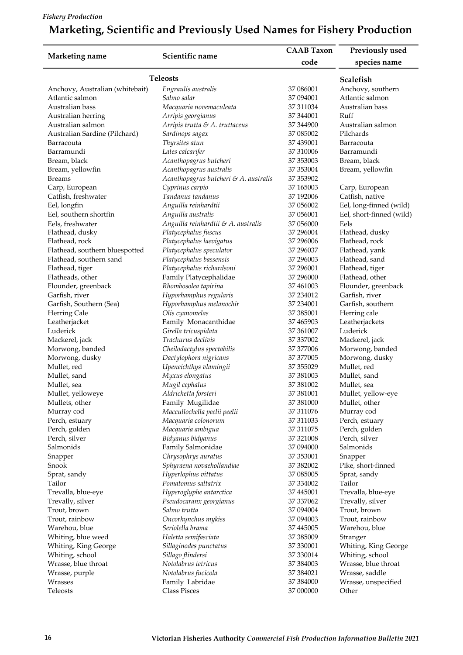## *Fishery Production*

# **Marketing, Scientific and Previously Used Names for Fishery Production**

|                                 |                                            | <b>CAAB Taxon</b> | Previously used          |  |
|---------------------------------|--------------------------------------------|-------------------|--------------------------|--|
| Marketing name                  | Scientific name                            | code              | species name             |  |
|                                 |                                            |                   |                          |  |
|                                 | <b>Teleosts</b>                            |                   | Scalefish                |  |
| Anchovy, Australian (whitebait) | Engraulis australis                        | 37 086001         | Anchovy, southern        |  |
| Atlantic salmon                 | Salmo salar                                | 37 094001         | Atlantic salmon          |  |
| Australian bass                 | Macquaria novemaculeata                    | 37 31 10 34       | Australian bass          |  |
| Australian herring              | Arripis georgianus                         | 37 344001         | Ruff                     |  |
| Australian salmon               | Arripis trutta & A. truttaceus             | 37 344900         | Australian salmon        |  |
| Australian Sardine (Pilchard)   | Sardinops sagax                            | 37 085002         | Pilchards                |  |
| Barracouta                      | Thyrsites atun                             | 37 439001         | Barracouta               |  |
| Barramundi                      | Lates calcarifer                           | 37 310006         | Barramundi               |  |
| Bream, black                    | Acanthopagrus butcheri                     | 37 353003         | Bream, black             |  |
| Bream, yellowfin                | Acanthopagrus australis                    | 37 353004         | Bream, yellowfin         |  |
| <b>Breams</b>                   | Acanthopagrus butcheri & A. australis      | 37 353902         |                          |  |
| Carp, European                  | Cyprinus carpio                            | 37 165003         | Carp, European           |  |
| Catfish, freshwater             | Tandanus tandanus                          | 37 192006         | Catfish, native          |  |
| Eel, longfin                    | Anguilla reinhardtii                       | 37 056002         | Eel, long-finned (wild)  |  |
| Eel, southern shortfin          | Anguilla australis                         | 37 056001         | Eel, short-finned (wild) |  |
| Eels, freshwater                | Anguilla reinhardtii & A. australis        | 37 056000         | Eels                     |  |
| Flathead, dusky                 | Platycephalus fuscus                       | 37 29 6004        | Flathead, dusky          |  |
| Flathead, rock                  | Platycephalus laevigatus                   | 37 29 6006        | Flathead, rock           |  |
| Flathead, southern bluespotted  | Platycephalus speculator                   | 37 29 60 37       | Flathead, yank           |  |
| Flathead, southern sand         | Platycephalus bassensis                    | 37 29 6003        | Flathead, sand           |  |
| Flathead, tiger                 | Platycephalus richardsoni                  | 37 29 6001        | Flathead, tiger          |  |
| Flatheads, other                | Family Platycephalidae                     | 37 296000         | Flathead, other          |  |
| Flounder, greenback             | Rhombosolea tapirina                       | 37 461003         | Flounder, greenback      |  |
| Garfish, river                  | Hyporhamphus regularis                     | 37 234012         | Garfish, river           |  |
| Garfish, Southern (Sea)         | Hyporhamphus melanochir                    | 37 234001         | Garfish, southern        |  |
| Herring Cale                    | Olis cyanomelas                            | 37 385001         | Herring cale             |  |
|                                 | Family Monacanthidae                       | 37 465903         | Leatherjackets           |  |
| Leatherjacket<br>Luderick       |                                            | 37 361007         | Luderick                 |  |
|                                 | Girella tricuspidata<br>Trachurus declivis |                   |                          |  |
| Mackerel, jack                  |                                            | 37 337002         | Mackerel, jack           |  |
| Morwong, banded                 | Cheilodactylus spectabilis                 | 37 377006         | Morwong, banded          |  |
| Morwong, dusky                  | Dactylophora nigricans                     | 37 377005         | Morwong, dusky           |  |
| Mullet, red                     | Upeneichthys vlamingii                     | 37 35 50 29       | Mullet, red              |  |
| Mullet, sand                    | Myxus elongatus                            | 37 381003         | Mullet, sand             |  |
| Mullet, sea                     | Mugil cephalus                             | 37 381002         | Mullet, sea              |  |
| Mullet, yelloweye               | Aldrichetta forsteri                       | 37 381001         | Mullet, yellow-eye       |  |
| Mullets, other                  | Family Mugilidae                           | 37 381000         | Mullet, other            |  |
| Murray cod                      | Maccullochella peelii peelii               | 37 311076         | Murray cod               |  |
| Perch, estuary                  | Macquaria colonorum                        | 37 311033         | Perch, estuary           |  |
| Perch, golden                   | Macquaria ambigua                          | 37 311075         | Perch, golden            |  |
| Perch, silver                   | Bidyanus bidyanus                          | 37 321008         | Perch, silver            |  |
| Salmonids                       | Family Salmonidae                          | 37 094000         | Salmonids                |  |
| Snapper                         | Chrysophrys auratus                        | 37 353001         | Snapper                  |  |
| Snook                           | Sphyraena novaehollandiae                  | 37 382002         | Pike, short-finned       |  |
| Sprat, sandy                    | Hyperlophus vittatus                       | 37 085005         | Sprat, sandy             |  |
| Tailor                          | Pomatomus saltatrix                        | 37 334002         | Tailor                   |  |
| Trevalla, blue-eye              | Hyperoglyphe antarctica                    | 37 445001         | Trevalla, blue-eye       |  |
| Trevally, silver                | Pseudocaranx georgianus                    | 37 337062         | Trevally, silver         |  |
| Trout, brown                    | Salmo trutta                               | 37 094004         | Trout, brown             |  |
| Trout, rainbow                  | Oncorhynchus mykiss                        | 37 094003         | Trout, rainbow           |  |
| Warehou, blue                   | Seriolella brama                           | 37 445005         | Warehou, blue            |  |
| Whiting, blue weed              | Haletta semifasciata                       | 37 38 5009        | Stranger                 |  |
| Whiting, King George            | Sillaginodes punctatus                     | 37 330001         | Whiting, King George     |  |
| Whiting, school                 | Sillago flindersi                          | 37 330014         | Whiting, school          |  |
| Wrasse, blue throat             | Notolabrus tetricus                        | 37 384003         | Wrasse, blue throat      |  |
| Wrasse, purple                  | Notolabrus fucicola                        | 37 384021         | Wrasse, saddle           |  |
| Wrasses                         | Family Labridae                            | 37 384000         | Wrasse, unspecified      |  |
| Teleosts                        | <b>Class Pisces</b>                        | 37 000000         | Other                    |  |
|                                 |                                            |                   |                          |  |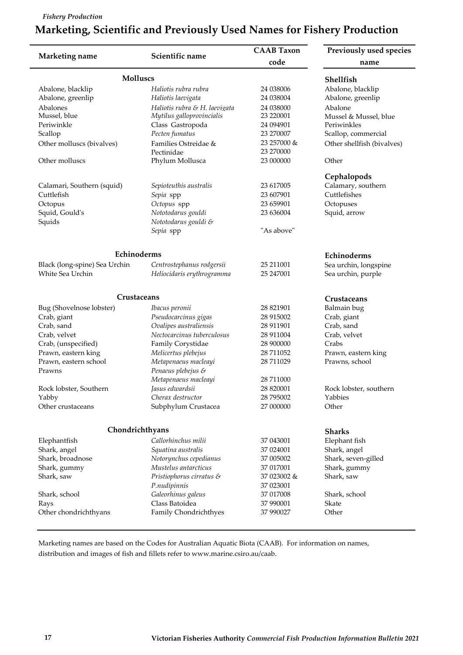#### *Fishery Production*

÷

# **Marketing, Scientific and Previously Used Names for Fishery Production**

| Marketing name                | Scientific name                                | <b>CAAB Taxon</b>        | Previously used species    |
|-------------------------------|------------------------------------------------|--------------------------|----------------------------|
|                               |                                                | code                     | name                       |
| <b>Molluscs</b>               |                                                |                          | Shellfish                  |
| Abalone, blacklip             | Haliotis rubra rubra                           | 24 038006                | Abalone, blacklip          |
| Abalone, greenlip             | Haliotis laevigata                             | 24 038004                | Abalone, greenlip          |
| Abalones                      | Haliotis rubra & H. laevigata                  | 24 038000                | Abalone                    |
| Mussel, blue                  | Mytilus galloprovincialis                      | 23 220001                | Mussel & Mussel, blue      |
| Periwinkle                    | Class Gastropoda                               | 24 094901                | Periwinkles                |
| Scallop                       | Pecten fumatus                                 | 23 270007                | Scallop, commercial        |
| Other molluscs (bivalves)     | Families Ostreidae &                           | 23 257000 &              | Other shellfish (bivalves) |
|                               | Pectinidae                                     | 23 270000                |                            |
| Other molluscs                | Phylum Mollusca                                | 23 000000                | Other                      |
|                               |                                                |                          | Cephalopods                |
| Calamari, Southern (squid)    | Sepioteuthis australis                         | 23 617005                | Calamary, southern         |
| Cuttlefish                    | Sepia spp                                      | 23 607901                | Cuttlefishes               |
| Octopus                       | Octopus spp                                    | 23 659901                | Octopuses                  |
| Squid, Gould's                | Nototodarus gouldi                             | 23 636004                | Squid, arrow               |
| Squids                        | Nototodarus gouldi &                           |                          |                            |
|                               | Sepia spp                                      | "As above"               |                            |
|                               |                                                |                          |                            |
| Echinoderms                   |                                                |                          | Echinoderms                |
| Black (long-spine) Sea Urchin | Centrostephanus rodgersii                      | 25 211001                | Sea urchin, longspine      |
| White Sea Urchin              | Heliocidaris erythrogramma                     | 25 247001                | Sea urchin, purple         |
| Crustaceans                   |                                                | <b>Crustaceans</b>       |                            |
| Bug (Shovelnose lobster)      | Ibacus peronii                                 | 28 821901                | Balmain bug                |
| Crab, giant                   | Pseudocarcinus gigas                           | 28 915002                | Crab, giant                |
| Crab, sand                    | Ovalipes australiensis                         | 28 911901                | Crab, sand                 |
| Crab, velvet                  | Nectocarcinus tuberculosus                     | 28 911004                | Crab, velvet               |
| Crab, (unspecified)           | Family Corystidae                              | 28 900000                | Crabs                      |
| Prawn, eastern king           | Melicertus plebejus                            | 28 711052                | Prawn, eastern king        |
| Prawn, eastern school         | Metapenaeus macleayi                           | 28 711029                | Prawns, school             |
| Prawns                        | Penaeus plebejus &                             |                          |                            |
|                               | Metapenaeus macleayi                           | 28 711000                |                            |
| Rock lobster, Southern        | Jasus edwardsii                                | 28 820001                | Rock lobster, southern     |
| Yabby                         | Cherax destructor                              | 28 795002                | Yabbies                    |
| Other crustaceans             | Subphylum Crustacea                            | 27 000000                | Other                      |
| Chondrichthyans               |                                                |                          |                            |
|                               |                                                |                          | <b>Sharks</b>              |
| Elephantfish                  | Callorhinchus milii                            | 37 043001                | Elephant fish              |
| Shark, angel                  | Squatina australis                             | 37 024001                | Shark, angel               |
| Shark, broadnose              | Notorynchus cepedianus<br>Mustelus antarcticus | 37 005002                | Shark, seven-gilled        |
| Shark, gummy                  |                                                | 37 017001                | Shark, gummy               |
| Shark, saw                    | Pristiophorus cirratus &                       | 37 023002 &<br>37 023001 | Shark, saw                 |
|                               | P.nudipinnis                                   |                          |                            |
| Shark, school<br>Rays         | Galeorhinus galeus<br>Class Batoidea           | 37 017008<br>37 990001   | Shark, school<br>Skate     |
| Other chondrichthyans         | Family Chondrichthyes                          | 37 990027                | Other                      |
|                               |                                                |                          |                            |

distribution and images of fish and fillets refer to www.marine.csiro.au/caab. Marketing names are based on the Codes for Australian Aquatic Biota (CAAB). For information on names,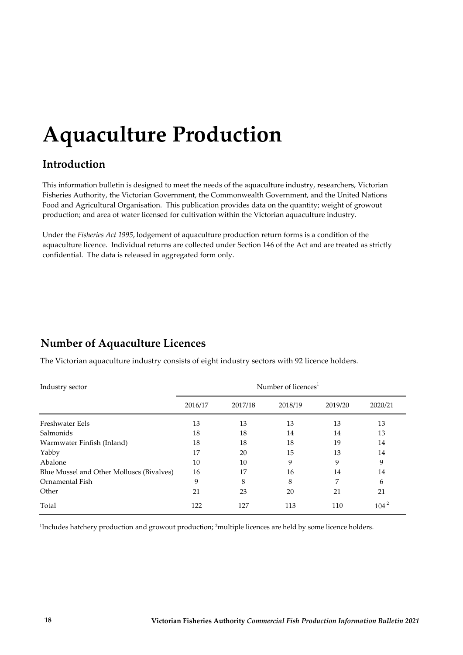# **Aquaculture Production**

# **Introduction**

This information bulletin is designed to meet the needs of the aquaculture industry, researchers, Victorian Fisheries Authority, the Victorian Government, the Commonwealth Government, and the United Nations Food and Agricultural Organisation. This publication provides data on the quantity; weight of growout production; and area of water licensed for cultivation within the Victorian aquaculture industry.

Under the *Fisheries Act 1995*, lodgement of aquaculture production return forms is a condition of the aquaculture licence. Individual returns are collected under Section 146 of the Act and are treated as strictly confidential. The data is released in aggregated form only.

# **Number of Aquaculture Licences**

The Victorian aquaculture industry consists of eight industry sectors with 92 licence holders.

| Industry sector                           | Number of licences <sup>1</sup> |         |         |         |           |  |  |  |
|-------------------------------------------|---------------------------------|---------|---------|---------|-----------|--|--|--|
|                                           | 2016/17                         | 2017/18 | 2018/19 | 2019/20 | 2020/21   |  |  |  |
| Freshwater Eels                           | 13                              | 13      | 13      | 13      | 13        |  |  |  |
| Salmonids                                 | 18                              | 18      | 14      | 14      | 13        |  |  |  |
| Warmwater Finfish (Inland)                | 18                              | 18      | 18      | 19      | 14        |  |  |  |
| Yabby                                     | 17                              | 20      | 15      | 13      | 14        |  |  |  |
| Abalone                                   | 10                              | 10      | 9       | 9       | 9         |  |  |  |
| Blue Mussel and Other Molluscs (Bivalves) | 16                              | 17      | 16      | 14      | 14        |  |  |  |
| Ornamental Fish                           | 9                               | 8       | 8       | 7       | 6         |  |  |  |
| Other                                     | 21                              | 23      | 20      | 21      | 21        |  |  |  |
| Total                                     | 122                             | 127     | 113     | 110     | $104^{2}$ |  |  |  |

<sup>1</sup>Includes hatchery production and growout production; <sup>2</sup>multiple licences are held by some licence holders.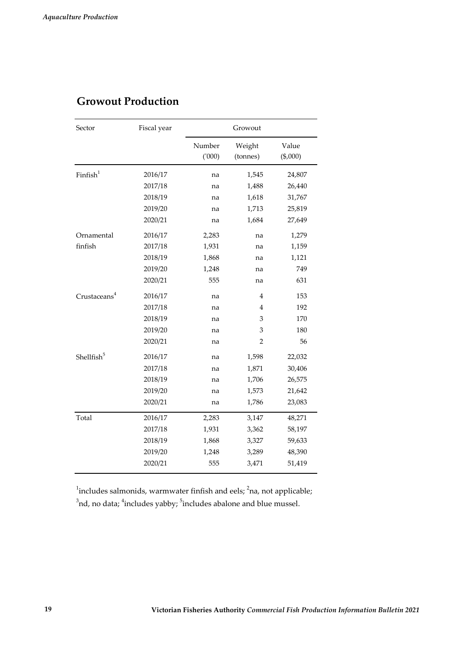| Sector                   | Fiscal year | Growout         |                    |                   |  |  |
|--------------------------|-------------|-----------------|--------------------|-------------------|--|--|
|                          |             | Number<br>(000) | Weight<br>(tonnes) | Value<br>(\$,000) |  |  |
| Finfish <sup>1</sup>     | 2016/17     | na              | 1,545              | 24,807            |  |  |
|                          | 2017/18     | na              | 1,488              | 26,440            |  |  |
|                          | 2018/19     | na              | 1,618              | 31,767            |  |  |
|                          | 2019/20     | na              | 1,713              | 25,819            |  |  |
|                          | 2020/21     | na              | 1,684              | 27,649            |  |  |
| Ornamental               | 2016/17     | 2,283           | na                 | 1,279             |  |  |
| finfish                  | 2017/18     | 1,931           | na                 | 1,159             |  |  |
|                          | 2018/19     | 1,868           | na                 | 1,121             |  |  |
|                          | 2019/20     | 1,248           | na                 | 749               |  |  |
|                          | 2020/21     | 555             | na                 | 631               |  |  |
| Crustaceans <sup>4</sup> | 2016/17     | na              | 4                  | 153               |  |  |
|                          | 2017/18     | na              | 4                  | 192               |  |  |
|                          | 2018/19     | na              | 3                  | 170               |  |  |
|                          | 2019/20     | na              | 3                  | 180               |  |  |
|                          | 2020/21     | na              | 2                  | 56                |  |  |
| Shellfish <sup>5</sup>   | 2016/17     | na              | 1,598              | 22,032            |  |  |
|                          | 2017/18     | na              | 1,871              | 30,406            |  |  |
|                          | 2018/19     | na              | 1,706              | 26,575            |  |  |
|                          | 2019/20     | na              | 1,573              | 21,642            |  |  |
|                          | 2020/21     | na              | 1,786              | 23,083            |  |  |
| Total                    | 2016/17     | 2,283           | 3,147              | 48,271            |  |  |
|                          | 2017/18     | 1,931           | 3,362              | 58,197            |  |  |
|                          | 2018/19     | 1,868           | 3,327              | 59,633            |  |  |
|                          | 2019/20     | 1,248           | 3,289              | 48,390            |  |  |
|                          | 2020/21     | 555             | 3,471              | 51,419            |  |  |

# **Growout Production**

 $^1$ includes salmonids, warmwater finfish and eels;  $^2$ na, not applicable;  $^3$ nd, no data;  $^4$ includes yabby;  $^5$ includes abalone and blue mussel.